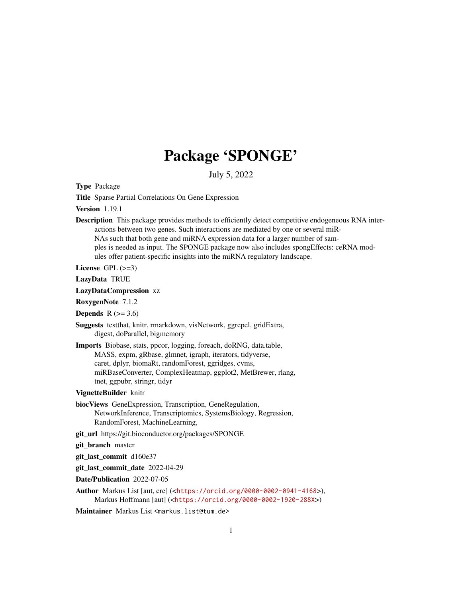# Package 'SPONGE'

July 5, 2022

Type Package

Title Sparse Partial Correlations On Gene Expression

Version 1.19.1

Description This package provides methods to efficiently detect competitive endogeneous RNA interactions between two genes. Such interactions are mediated by one or several miR-NAs such that both gene and miRNA expression data for a larger number of samples is needed as input. The SPONGE package now also includes spongEffects: ceRNA modules offer patient-specific insights into the miRNA regulatory landscape.

License  $GPL$  ( $>=3$ )

LazyData TRUE

LazyDataCompression xz

RoxygenNote 7.1.2

Depends  $R$  ( $> = 3.6$ )

- Suggests testthat, knitr, rmarkdown, visNetwork, ggrepel, gridExtra, digest, doParallel, bigmemory
- Imports Biobase, stats, ppcor, logging, foreach, doRNG, data.table, MASS, expm, gRbase, glmnet, igraph, iterators, tidyverse, caret, dplyr, biomaRt, randomForest, ggridges, cvms, miRBaseConverter, ComplexHeatmap, ggplot2, MetBrewer, rlang, tnet, ggpubr, stringr, tidyr

#### VignetteBuilder knitr

- biocViews GeneExpression, Transcription, GeneRegulation, NetworkInference, Transcriptomics, SystemsBiology, Regression, RandomForest, MachineLearning,
- git\_url https://git.bioconductor.org/packages/SPONGE
- git\_branch master

git\_last\_commit d160e37

git\_last\_commit\_date 2022-04-29

Date/Publication 2022-07-05

Author Markus List [aut, cre] (<<https://orcid.org/0000-0002-0941-4168>>), Markus Hoffmann [aut] (<<https://orcid.org/0000-0002-1920-288X>>)

Maintainer Markus List <markus.list@tum.de>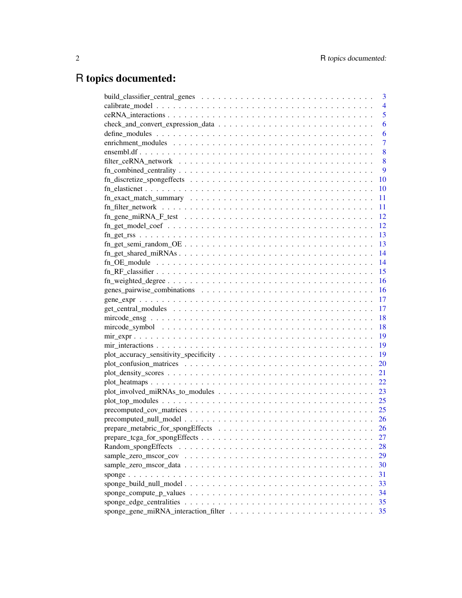# R topics documented:

|                                                                                                         | 3               |
|---------------------------------------------------------------------------------------------------------|-----------------|
|                                                                                                         | $\overline{4}$  |
|                                                                                                         | 5               |
|                                                                                                         | 6               |
|                                                                                                         | 6               |
|                                                                                                         | $\overline{7}$  |
|                                                                                                         | 8               |
|                                                                                                         | 8               |
| $fn\_combined\_centrality \ldots \ldots \ldots \ldots \ldots \ldots \ldots \ldots \ldots \ldots \ldots$ | 9               |
|                                                                                                         | 10              |
|                                                                                                         | 10              |
|                                                                                                         | 11              |
|                                                                                                         | 11              |
|                                                                                                         | 12              |
|                                                                                                         | 12              |
|                                                                                                         | 13              |
|                                                                                                         | 13              |
|                                                                                                         | $\overline{14}$ |
|                                                                                                         | -14             |
|                                                                                                         | 15              |
|                                                                                                         | 16              |
|                                                                                                         | - 16            |
|                                                                                                         |                 |
|                                                                                                         |                 |
|                                                                                                         | - 18            |
|                                                                                                         |                 |
|                                                                                                         |                 |
|                                                                                                         |                 |
|                                                                                                         | - 19            |
|                                                                                                         | 20              |
|                                                                                                         | 21              |
|                                                                                                         | 22              |
|                                                                                                         | 23              |
|                                                                                                         | 25              |
|                                                                                                         | 25              |
|                                                                                                         |                 |
|                                                                                                         | 26              |
|                                                                                                         | 27              |
|                                                                                                         | 28              |
|                                                                                                         | 29              |
|                                                                                                         | 30              |
|                                                                                                         | 31              |
|                                                                                                         | 33              |
|                                                                                                         | 34              |
|                                                                                                         | 35              |
|                                                                                                         | 35              |
|                                                                                                         |                 |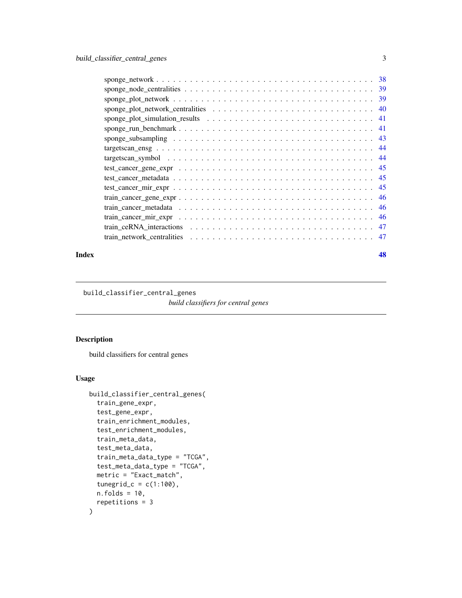<span id="page-2-0"></span>

#### **Index a** set of the contract of the contract of the contract of the contract of the contract of the contract of the contract of the contract of the contract of the contract of the contract of the contract of the contrac

build\_classifier\_central\_genes

*build classifiers for central genes*

## Description

build classifiers for central genes

#### Usage

```
build_classifier_central_genes(
  train_gene_expr,
  test_gene_expr,
  train_enrichment_modules,
  test_enrichment_modules,
  train_meta_data,
  test_meta_data,
  train_meta_data_type = "TCGA",
  test_meta_data_type = "TCGA",
 metric = "Exact_match",
  tunegrid_c = c(1:100),
 n.folds = 10,repetitions = 3
\mathcal{E}
```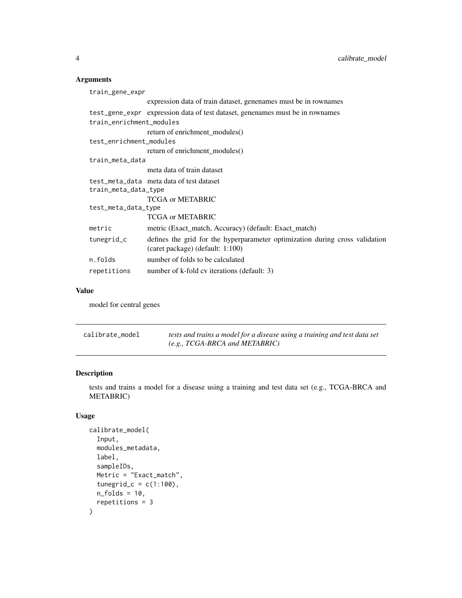## <span id="page-3-0"></span>Arguments

| train_gene_expr          |                                                                                                                  |  |
|--------------------------|------------------------------------------------------------------------------------------------------------------|--|
|                          | expression data of train dataset, genenames must be in rownames                                                  |  |
|                          | test_gene_expr expression data of test dataset, general must be in rownames                                      |  |
| train_enrichment_modules |                                                                                                                  |  |
|                          | return of enrichment modules()                                                                                   |  |
| test_enrichment_modules  |                                                                                                                  |  |
|                          | return of enrichment modules()                                                                                   |  |
| train_meta_data          |                                                                                                                  |  |
|                          | meta data of train dataset                                                                                       |  |
|                          | test meta data meta data of test dataset                                                                         |  |
| train_meta_data_type     |                                                                                                                  |  |
|                          | TCGA or METABRIC                                                                                                 |  |
| test_meta_data_type      |                                                                                                                  |  |
|                          | TCGA or METABRIC                                                                                                 |  |
| metric                   | metric (Exact_match, Accuracy) (default: Exact_match)                                                            |  |
| tunegrid_c               | defines the grid for the hyperparameter optimization during cross validation<br>(caret package) (default: 1:100) |  |
| n.folds                  | number of folds to be calculated                                                                                 |  |
| repetitions              | number of k-fold cv iterations (default: 3)                                                                      |  |
|                          |                                                                                                                  |  |

## Value

model for central genes

| calibrate_model | tests and trains a model for a disease using a training and test data set |
|-----------------|---------------------------------------------------------------------------|
|                 | (e.g., TCGA-BRCA and METABRIC)                                            |

## Description

tests and trains a model for a disease using a training and test data set (e.g., TCGA-BRCA and METABRIC)

## Usage

```
calibrate_model(
  Input,
  modules_metadata,
  label,
  sampleIDs,
  Metric = "Exact_match",
  tunegrid_c = c(1:100),
  n_folds = 10,
  repetitions = 3
\mathcal{E}
```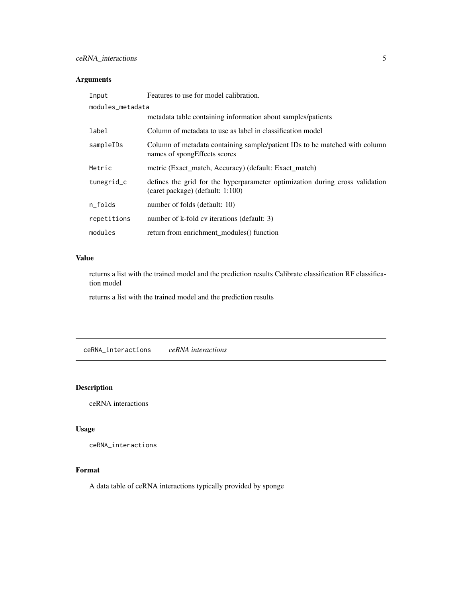## <span id="page-4-0"></span>Arguments

| Input            | Features to use for model calibration.                                                                           |  |
|------------------|------------------------------------------------------------------------------------------------------------------|--|
| modules_metadata |                                                                                                                  |  |
|                  | metadata table containing information about samples/patients                                                     |  |
| label            | Column of metadata to use as label in classification model                                                       |  |
| sampleIDs        | Column of metadata containing sample/patient IDs to be matched with column<br>names of spongEffects scores       |  |
| Metric           | metric (Exact match, Accuracy) (default: Exact match)                                                            |  |
| tunegrid_c       | defines the grid for the hyperparameter optimization during cross validation<br>(caret package) (default: 1:100) |  |
| n folds          | number of folds (default: 10)                                                                                    |  |
| repetitions      | number of k-fold cv iterations (default: 3)                                                                      |  |
| modules          | return from enrichment_modules() function                                                                        |  |

## Value

returns a list with the trained model and the prediction results Calibrate classification RF classification model

returns a list with the trained model and the prediction results

ceRNA\_interactions *ceRNA interactions*

## Description

ceRNA interactions

## Usage

ceRNA\_interactions

## Format

A data table of ceRNA interactions typically provided by sponge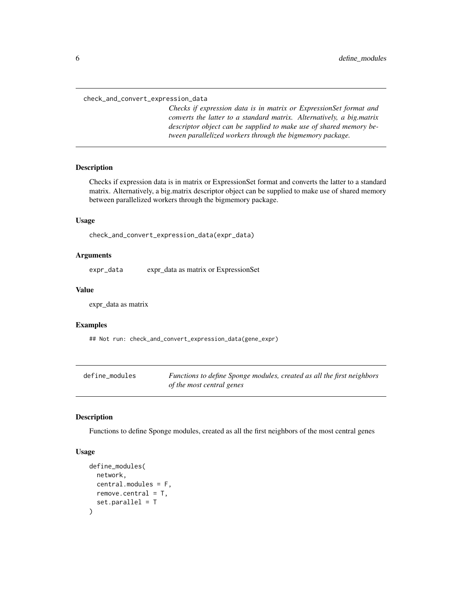<span id="page-5-0"></span>check\_and\_convert\_expression\_data

*Checks if expression data is in matrix or ExpressionSet format and converts the latter to a standard matrix. Alternatively, a big.matrix descriptor object can be supplied to make use of shared memory between parallelized workers through the bigmemory package.*

#### Description

Checks if expression data is in matrix or ExpressionSet format and converts the latter to a standard matrix. Alternatively, a big.matrix descriptor object can be supplied to make use of shared memory between parallelized workers through the bigmemory package.

#### Usage

check\_and\_convert\_expression\_data(expr\_data)

#### Arguments

expr\_data expr\_data as matrix or ExpressionSet

#### Value

expr\_data as matrix

#### Examples

## Not run: check\_and\_convert\_expression\_data(gene\_expr)

| define_modules | Functions to define Sponge modules, created as all the first neighbors |
|----------------|------------------------------------------------------------------------|
|                | of the most central genes                                              |

## Description

Functions to define Sponge modules, created as all the first neighbors of the most central genes

#### Usage

```
define_modules(
 network,
  central.modules = F,
  remove.central = T,
  set.parallel = T
)
```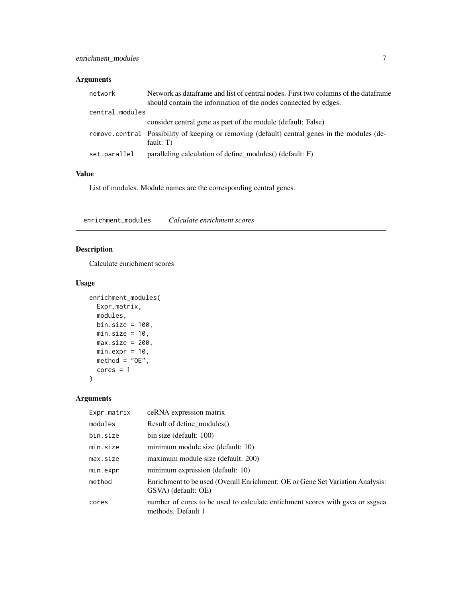## <span id="page-6-0"></span>Arguments

| network         | Network as dataframe and list of central nodes. First two columns of the dataframe<br>should contain the information of the nodes connected by edges. |
|-----------------|-------------------------------------------------------------------------------------------------------------------------------------------------------|
| central.modules |                                                                                                                                                       |
|                 | consider central gene as part of the module (default: False)                                                                                          |
|                 | remove central Possibility of keeping or removing (default) central genes in the modules (de-<br>fault: $T$ )                                         |
| set.parallel    | paralleling calculation of define modules() (default: F)                                                                                              |

## Value

List of modules. Module names are the corresponding central genes.

enrichment\_modules *Calculate enrichment scores*

## Description

Calculate enrichment scores

#### Usage

```
enrichment_modules(
  Expr.matrix,
  modules,
  bin.size = 100,
  min.size = 10,
  max.size = 200,min.expr = 10,\text{method} = "OE",cores = 1\mathcal{E}
```
## Arguments

| Expr.matrix | ceRNA expression matrix                                                                              |
|-------------|------------------------------------------------------------------------------------------------------|
| modules     | Result of define modules()                                                                           |
| bin.size    | bin size (default: 100)                                                                              |
| min.size    | minimum module size (default: 10)                                                                    |
| max.size    | maximum module size (default: 200)                                                                   |
| min.expr    | minimum expression (default: 10)                                                                     |
| method      | Enrichment to be used (Overall Enrichment: OE or Gene Set Variation Analysis:<br>GSVA) (default: OE) |
| cores       | number of cores to be used to calculate entichment scores with gsva or ssgsea<br>methods. Default 1  |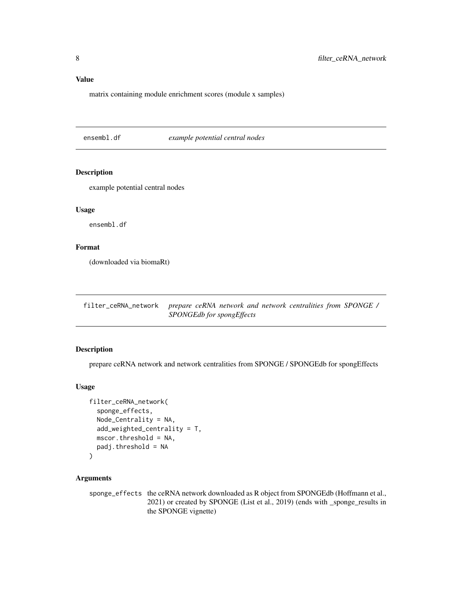## <span id="page-7-0"></span>Value

matrix containing module enrichment scores (module x samples)

ensembl.df *example potential central nodes*

## Description

example potential central nodes

## Usage

ensembl.df

## Format

(downloaded via biomaRt)

filter\_ceRNA\_network *prepare ceRNA network and network centralities from SPONGE / SPONGEdb for spongEffects*

## Description

prepare ceRNA network and network centralities from SPONGE / SPONGEdb for spongEffects

## Usage

```
filter_ceRNA_network(
  sponge_effects,
 Node_Centrality = NA,
  add_weighted_centrality = T,
 mscor.threshold = NA,
 padj.threshold = NA
)
```
#### Arguments

sponge\_effects the ceRNA network downloaded as R object from SPONGEdb (Hoffmann et al., 2021) or created by SPONGE (List et al., 2019) (ends with \_sponge\_results in the SPONGE vignette)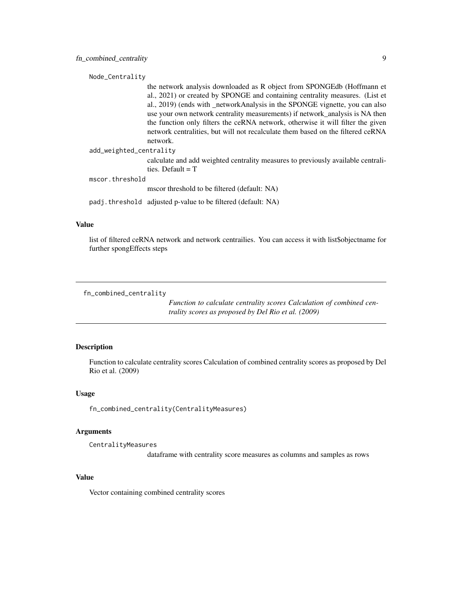<span id="page-8-0"></span>Node\_Centrality

the network analysis downloaded as R object from SPONGEdb (Hoffmann et al., 2021) or created by SPONGE and containing centrality measures. (List et al., 2019) (ends with \_networkAnalysis in the SPONGE vignette, you can also use your own network centrality measurements) if network\_analysis is NA then the function only filters the ceRNA network, otherwise it will filter the given network centralities, but will not recalculate them based on the filtered ceRNA network.

add\_weighted\_centrality

calculate and add weighted centrality measures to previously available centralities. Default  $= T$ 

mscor.threshold

mscor threshold to be filtered (default: NA)

padj.threshold adjusted p-value to be filtered (default: NA)

#### Value

list of filtered ceRNA network and network centrailies. You can access it with list\$objectname for further spongEffects steps

fn\_combined\_centrality

*Function to calculate centrality scores Calculation of combined centrality scores as proposed by Del Rio et al. (2009)*

#### **Description**

Function to calculate centrality scores Calculation of combined centrality scores as proposed by Del Rio et al. (2009)

#### Usage

fn\_combined\_centrality(CentralityMeasures)

## Arguments

CentralityMeasures

dataframe with centrality score measures as columns and samples as rows

#### Value

Vector containing combined centrality scores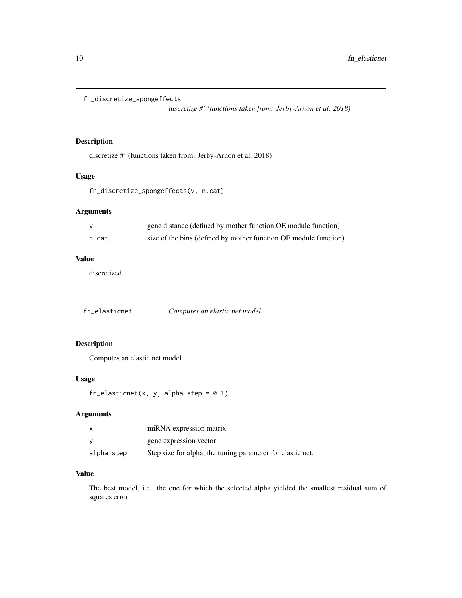```
fn_discretize_spongeffects
```
*discretize #' (functions taken from: Jerby-Arnon et al. 2018)*

## Description

discretize #' (functions taken from: Jerby-Arnon et al. 2018)

## Usage

```
fn_discretize_spongeffects(v, n.cat)
```
## Arguments

|       | gene distance (defined by mother function OE module function)    |
|-------|------------------------------------------------------------------|
| n.cat | size of the bins (defined by mother function OE module function) |

## Value

discretized

fn\_elasticnet *Computes an elastic net model*

## Description

Computes an elastic net model

## Usage

 $fn\_elasticnet(x, y, alpha.step = 0.1)$ 

## Arguments

|            | miRNA expression matrix                                    |
|------------|------------------------------------------------------------|
|            | gene expression vector                                     |
| alpha.step | Step size for alpha, the tuning parameter for elastic net. |

## Value

The best model, i.e. the one for which the selected alpha yielded the smallest residual sum of squares error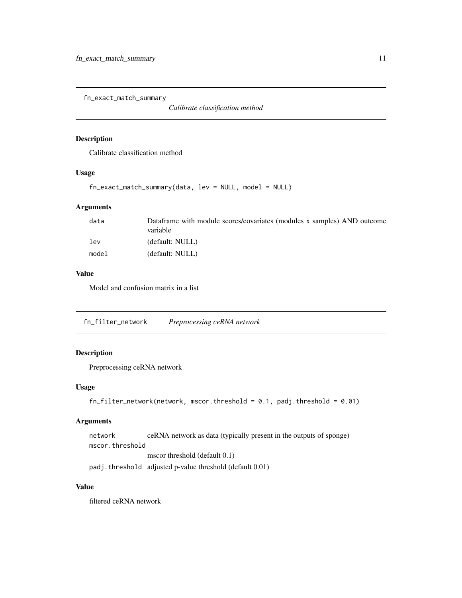<span id="page-10-0"></span>fn\_exact\_match\_summary

*Calibrate classification method*

#### Description

Calibrate classification method

#### Usage

fn\_exact\_match\_summary(data, lev = NULL, model = NULL)

## Arguments

| data  | Dataframe with module scores/covariates (modules x samples) AND outcome<br>variable |
|-------|-------------------------------------------------------------------------------------|
| 1ev   | (default: NULL)                                                                     |
| model | (default: NULL)                                                                     |

## Value

Model and confusion matrix in a list

fn\_filter\_network *Preprocessing ceRNA network*

## Description

Preprocessing ceRNA network

## Usage

```
fn_filter_network(network, mscor.threshold = 0.1, padj.threshold = 0.01)
```
## Arguments

```
network ceRNA network as data (typically present in the outputs of sponge)
mscor.threshold
                 mscor threshold (default 0.1)
```
padj.threshold adjusted p-value threshold (default 0.01)

#### Value

filtered ceRNA network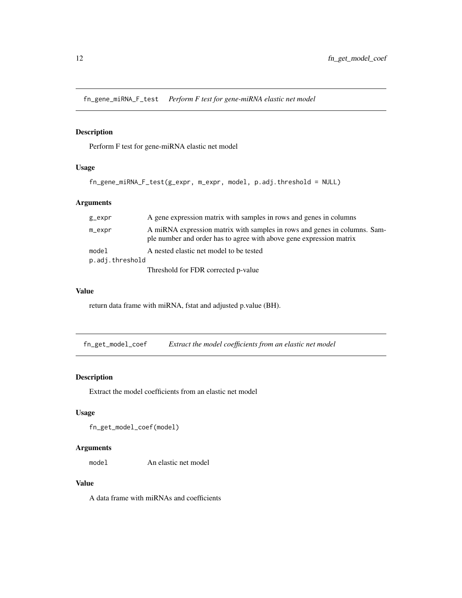<span id="page-11-0"></span>fn\_gene\_miRNA\_F\_test *Perform F test for gene-miRNA elastic net model*

## Description

Perform F test for gene-miRNA elastic net model

## Usage

```
fn_gene_miRNA_F_test(g_expr, m_expr, model, p.adj.threshold = NULL)
```
## Arguments

| g_expr          | A gene expression matrix with samples in rows and genes in columns                                                                               |  |
|-----------------|--------------------------------------------------------------------------------------------------------------------------------------------------|--|
| m_expr          | A miRNA expression matrix with samples in rows and genes in columns. Sam-<br>ple number and order has to agree with above gene expression matrix |  |
| model           | A nested elastic net model to be tested                                                                                                          |  |
| p.adj.threshold |                                                                                                                                                  |  |
|                 | Threshold for FDR corrected p-value                                                                                                              |  |

## Value

return data frame with miRNA, fstat and adjusted p.value (BH).

fn\_get\_model\_coef *Extract the model coefficients from an elastic net model*

## Description

Extract the model coefficients from an elastic net model

## Usage

fn\_get\_model\_coef(model)

## Arguments

model An elastic net model

## Value

A data frame with miRNAs and coefficients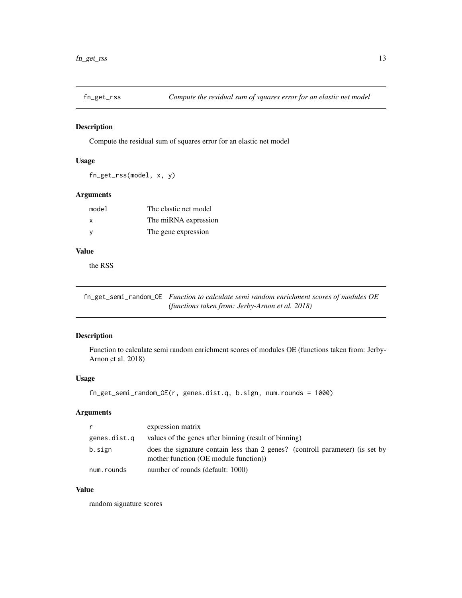<span id="page-12-0"></span>

#### Description

Compute the residual sum of squares error for an elastic net model

#### Usage

fn\_get\_rss(model, x, y)

## Arguments

| model | The elastic net model |
|-------|-----------------------|
| X     | The miRNA expression  |
| - V   | The gene expression   |

## Value

the RSS

fn\_get\_semi\_random\_OE *Function to calculate semi random enrichment scores of modules OE (functions taken from: Jerby-Arnon et al. 2018)*

## Description

Function to calculate semi random enrichment scores of modules OE (functions taken from: Jerby-Arnon et al. 2018)

#### Usage

```
fn_get_semi_random_OE(r, genes.dist.q, b.sign, num.rounds = 1000)
```
## Arguments

| r.           | expression matrix                                                                                                      |
|--------------|------------------------------------------------------------------------------------------------------------------------|
| genes.dist.q | values of the genes after binning (result of binning)                                                                  |
| b.sign       | does the signature contain less than 2 genes? (controll parameter) (is set by<br>mother function (OE module function)) |
| num.rounds   | number of rounds (default: 1000)                                                                                       |

## Value

random signature scores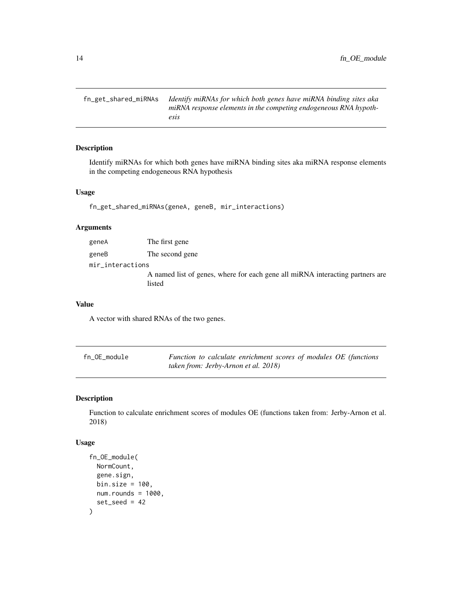<span id="page-13-0"></span>fn\_get\_shared\_miRNAs *Identify miRNAs for which both genes have miRNA binding sites aka miRNA response elements in the competing endogeneous RNA hypothesis*

## Description

Identify miRNAs for which both genes have miRNA binding sites aka miRNA response elements in the competing endogeneous RNA hypothesis

#### Usage

fn\_get\_shared\_miRNAs(geneA, geneB, mir\_interactions)

#### Arguments

| geneA            | The first gene                                                                          |
|------------------|-----------------------------------------------------------------------------------------|
| geneB            | The second gene                                                                         |
| mir_interactions |                                                                                         |
|                  | A named list of genes, where for each gene all miRNA interacting partners are<br>listed |

#### Value

A vector with shared RNAs of the two genes.

| fn_OE_module | Function to calculate enrichment scores of modules OE (functions |
|--------------|------------------------------------------------------------------|
|              | taken from: Jerby-Arnon et al. 2018)                             |

## Description

Function to calculate enrichment scores of modules OE (functions taken from: Jerby-Arnon et al. 2018)

#### Usage

```
fn_OE_module(
  NormCount,
  gene.sign,
 bin.size = 100,
  num.rounds = 1000,
  set\_seed = 42\mathcal{E}
```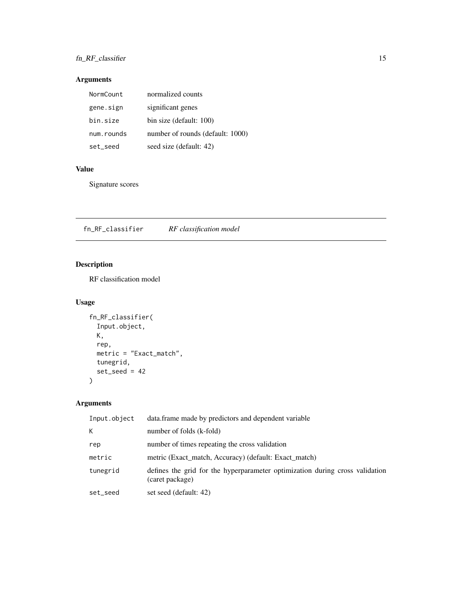## <span id="page-14-0"></span>fn\_RF\_classifier 15

## Arguments

| NormCount  | normalized counts                |
|------------|----------------------------------|
| gene.sign  | significant genes                |
| bin.size   | bin size (default: 100)          |
| num.rounds | number of rounds (default: 1000) |
| set_seed   | seed size (default: 42)          |

## Value

Signature scores

fn\_RF\_classifier *RF classification model*

## Description

RF classification model

## Usage

```
fn_RF_classifier(
  Input.object,
  K,
  rep,
  metric = "Exact_match",
  tunegrid,
  set\_seed = 42\mathcal{L}
```
## Arguments

| Input.object | data. frame made by predictors and dependent variable                                           |
|--------------|-------------------------------------------------------------------------------------------------|
| К            | number of folds (k-fold)                                                                        |
| rep          | number of times repeating the cross validation                                                  |
| metric       | metric (Exact match, Accuracy) (default: Exact match)                                           |
| tunegrid     | defines the grid for the hyperparameter optimization during cross validation<br>(caret package) |
| set_seed     | set seed (default: 42)                                                                          |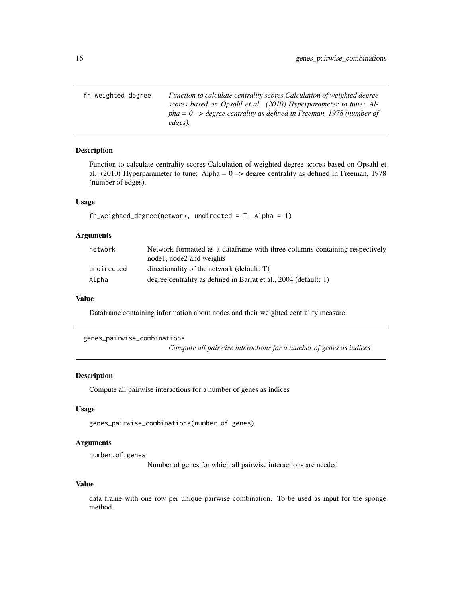<span id="page-15-0"></span>fn\_weighted\_degree *Function to calculate centrality scores Calculation of weighted degree scores based on Opsahl et al. (2010) Hyperparameter to tune: Alpha = 0 –> degree centrality as defined in Freeman, 1978 (number of edges).*

## Description

Function to calculate centrality scores Calculation of weighted degree scores based on Opsahl et al. (2010) Hyperparameter to tune: Alpha =  $0 \rightarrow$  degree centrality as defined in Freeman, 1978 (number of edges).

#### Usage

```
fn<sub>-</sub>weighted_degree(network, undirected = T, Alpha = 1)
```
#### Arguments

| network    | Network formatted as a data frame with three columns containing respectively |
|------------|------------------------------------------------------------------------------|
|            | nodel, node2 and weights                                                     |
| undirected | directionality of the network (default: T)                                   |
| Alpha      | degree centrality as defined in Barrat et al., 2004 (default: 1)             |

#### Value

Dataframe containing information about nodes and their weighted centrality measure

genes\_pairwise\_combinations

*Compute all pairwise interactions for a number of genes as indices*

#### Description

Compute all pairwise interactions for a number of genes as indices

## Usage

genes\_pairwise\_combinations(number.of.genes)

#### **Arguments**

number.of.genes

Number of genes for which all pairwise interactions are needed

#### Value

data frame with one row per unique pairwise combination. To be used as input for the sponge method.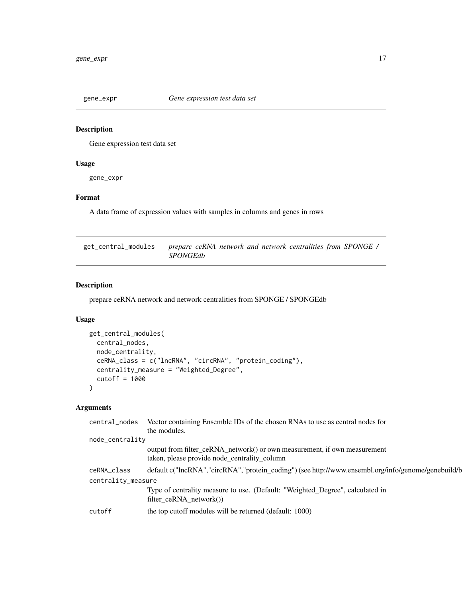<span id="page-16-0"></span>

## Description

Gene expression test data set

## Usage

gene\_expr

## Format

A data frame of expression values with samples in columns and genes in rows

| get_central_modules | prepare ceRNA network and network centralities from SPONGE / |  |  |  |  |
|---------------------|--------------------------------------------------------------|--|--|--|--|
|                     | <i>SPONGEdb</i>                                              |  |  |  |  |

## Description

prepare ceRNA network and network centralities from SPONGE / SPONGEdb

## Usage

```
get_central_modules(
 central_nodes,
 node_centrality,
 ceRNA_class = c("lncRNA", "circRNA", "protein_coding"),
 centrality_measure = "Weighted_Degree",
  cutoff = 1000
)
```
## Arguments

| central_nodes      | Vector containing Ensemble IDs of the chosen RNAs to use as central nodes for                                             |
|--------------------|---------------------------------------------------------------------------------------------------------------------------|
|                    | the modules.                                                                                                              |
| node_centrality    |                                                                                                                           |
|                    | output from filter_ceRNA_network() or own measurement, if own measurement<br>taken, please provide node_centrality_column |
| ceRNA_class        | default c("lncRNA","circRNA","protein_coding") (see http://www.ensembl.org/info/genome/genebuild/b                        |
| centrality_measure |                                                                                                                           |
|                    | Type of centrality measure to use. (Default: "Weighted_Degree", calculated in<br>$filter\_ceRNA\_network()$               |
| cutoff             | the top cutoff modules will be returned (default: 1000)                                                                   |
|                    |                                                                                                                           |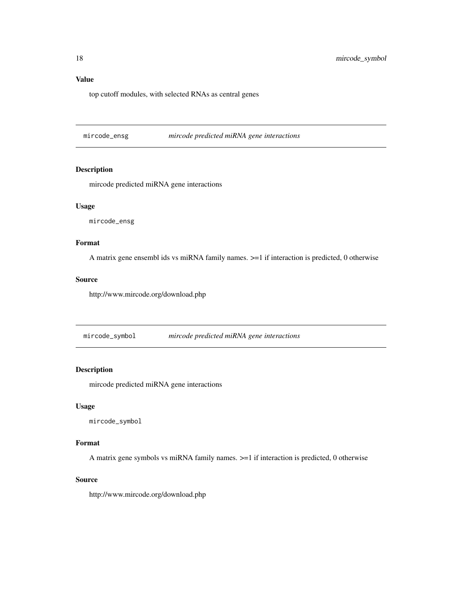## <span id="page-17-0"></span>Value

top cutoff modules, with selected RNAs as central genes

mircode\_ensg *mircode predicted miRNA gene interactions*

## Description

mircode predicted miRNA gene interactions

#### Usage

mircode\_ensg

#### Format

A matrix gene ensembl ids vs miRNA family names. >=1 if interaction is predicted, 0 otherwise

#### Source

http://www.mircode.org/download.php

mircode\_symbol *mircode predicted miRNA gene interactions*

## Description

mircode predicted miRNA gene interactions

#### Usage

mircode\_symbol

#### Format

A matrix gene symbols vs miRNA family names. >=1 if interaction is predicted, 0 otherwise

#### Source

http://www.mircode.org/download.php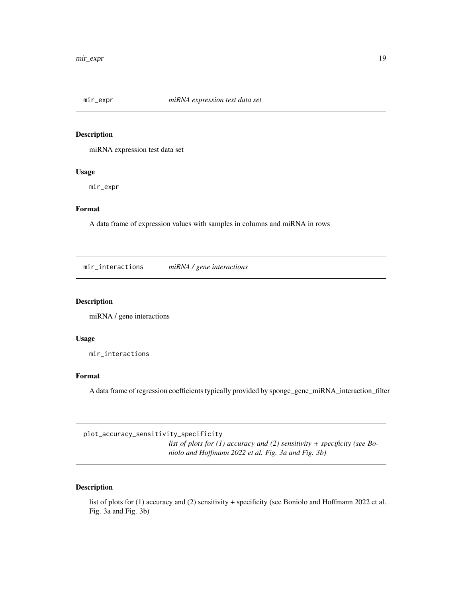<span id="page-18-0"></span>

#### Description

miRNA expression test data set

#### Usage

mir\_expr

## Format

A data frame of expression values with samples in columns and miRNA in rows

mir\_interactions *miRNA / gene interactions*

## Description

miRNA / gene interactions

#### Usage

mir\_interactions

## Format

A data frame of regression coefficients typically provided by sponge\_gene\_miRNA\_interaction\_filter

plot\_accuracy\_sensitivity\_specificity

*list of plots for (1) accuracy and (2) sensitivity + specificity (see Boniolo and Hoffmann 2022 et al. Fig. 3a and Fig. 3b)*

## Description

list of plots for (1) accuracy and (2) sensitivity + specificity (see Boniolo and Hoffmann 2022 et al. Fig. 3a and Fig. 3b)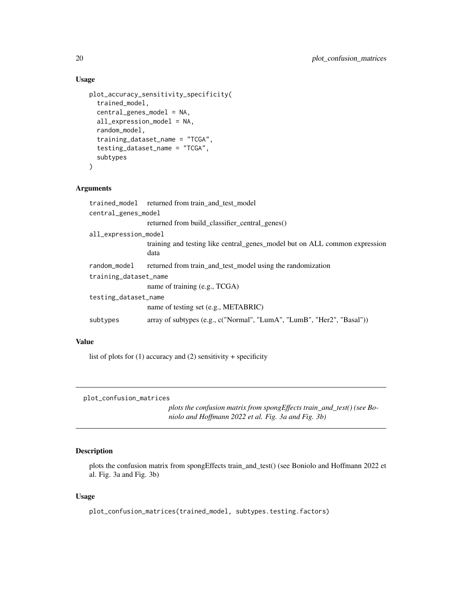## Usage

```
plot_accuracy_sensitivity_specificity(
  trained_model,
  central_genes_model = NA,
  all_expression_model = NA,
  random_model,
  training_dataset_name = "TCGA",
  testing_dataset_name = "TCGA",
  subtypes
\mathcal{E}
```
#### Arguments

|                       | trained_model returned from train_and_test_model                                   |  |  |
|-----------------------|------------------------------------------------------------------------------------|--|--|
| central_genes_model   |                                                                                    |  |  |
|                       | returned from build classifier central genes()                                     |  |  |
| all_expression_model  |                                                                                    |  |  |
|                       | training and testing like central_genes_model but on ALL common expression<br>data |  |  |
| random_model          | returned from train_and_test_model using the randomization                         |  |  |
| training_dataset_name |                                                                                    |  |  |
|                       | name of training (e.g., TCGA)                                                      |  |  |
| testing_dataset_name  |                                                                                    |  |  |
|                       | name of testing set (e.g., METABRIC)                                               |  |  |
| subtypes              | array of subtypes (e.g., c("Normal", "LumA", "LumB", "Her2", "Basal"))             |  |  |
|                       |                                                                                    |  |  |

## Value

list of plots for  $(1)$  accuracy and  $(2)$  sensitivity + specificity

plot\_confusion\_matrices

*plots the confusion matrix from spongEffects train\_and\_test() (see Boniolo and Hoffmann 2022 et al. Fig. 3a and Fig. 3b)*

## Description

plots the confusion matrix from spongEffects train\_and\_test() (see Boniolo and Hoffmann 2022 et al. Fig. 3a and Fig. 3b)

#### Usage

plot\_confusion\_matrices(trained\_model, subtypes.testing.factors)

<span id="page-19-0"></span>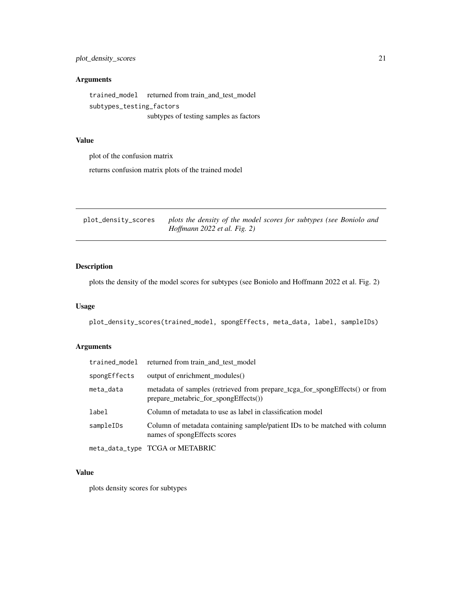## <span id="page-20-0"></span>Arguments

trained\_model returned from train\_and\_test\_model subtypes\_testing\_factors subtypes of testing samples as factors

#### Value

plot of the confusion matrix

returns confusion matrix plots of the trained model

| plot_density_scores | plots the density of the model scores for subtypes (see Boniolo and |
|---------------------|---------------------------------------------------------------------|
|                     | Hoffmann 2022 et al. Fig. 2)                                        |

## Description

plots the density of the model scores for subtypes (see Boniolo and Hoffmann 2022 et al. Fig. 2)

## Usage

plot\_density\_scores(trained\_model, spongEffects, meta\_data, label, sampleIDs)

## Arguments

| trained_model | returned from train and test model                                                                                      |
|---------------|-------------------------------------------------------------------------------------------------------------------------|
| spongEffects  | output of enrichment_modules()                                                                                          |
| meta_data     | metadata of samples (retrieved from prepare_tcga_for_spongEffects() or from<br>prepare metabric for spong $E$ ffects()) |
| label         | Column of metadata to use as label in classification model                                                              |
| sampleIDs     | Column of metadata containing sample/patient IDs to be matched with column<br>names of spong Effects scores             |
|               | meta_data_type TCGA or METABRIC                                                                                         |

#### Value

plots density scores for subtypes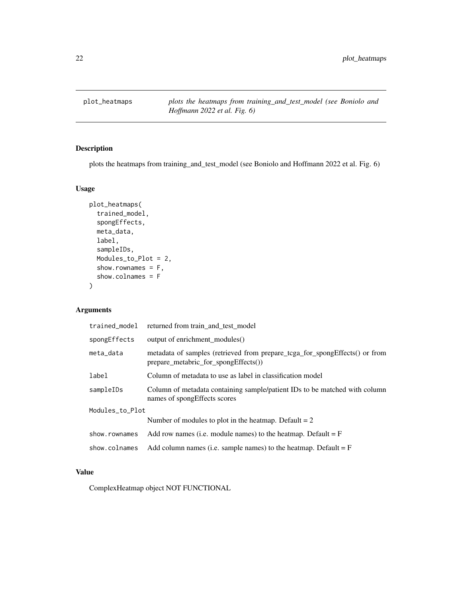<span id="page-21-0"></span>plot\_heatmaps *plots the heatmaps from training\_and\_test\_model (see Boniolo and Hoffmann 2022 et al. Fig. 6)*

## Description

plots the heatmaps from training\_and\_test\_model (see Boniolo and Hoffmann 2022 et al. Fig. 6)

## Usage

```
plot_heatmaps(
  trained_model,
  spongEffects,
 meta_data,
  label,
  sampleIDs,
 Modules_to_Plot = 2,
  show.rownames = F,
  show.colnames = F
)
```
## Arguments

| trained_model   | returned from train and test model                                                                                  |  |
|-----------------|---------------------------------------------------------------------------------------------------------------------|--|
| spongEffects    | output of enrichment_modules()                                                                                      |  |
| meta_data       | metadata of samples (retrieved from prepare_tcga_for_spongEffects() or from<br>prepare_metabric_for_spongEffects()) |  |
| label           | Column of metadata to use as label in classification model                                                          |  |
| sampleIDs       | Column of metadata containing sample/patient IDs to be matched with column<br>names of spongEffects scores          |  |
| Modules_to_Plot |                                                                                                                     |  |
|                 | Number of modules to plot in the heatmap. Default $= 2$                                                             |  |
| show.rownames   | Add row names (i.e. module names) to the heatmap. Default $=$ F                                                     |  |
| show.colnames   | Add column names (i.e. sample names) to the heatmap. Default $=$ F                                                  |  |

## Value

ComplexHeatmap object NOT FUNCTIONAL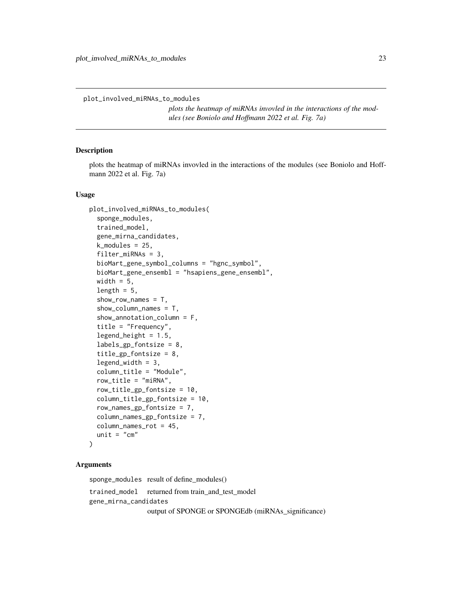<span id="page-22-0"></span>plot\_involved\_miRNAs\_to\_modules

*plots the heatmap of miRNAs invovled in the interactions of the modules (see Boniolo and Hoffmann 2022 et al. Fig. 7a)*

#### Description

plots the heatmap of miRNAs invovled in the interactions of the modules (see Boniolo and Hoffmann 2022 et al. Fig. 7a)

#### Usage

```
plot_involved_miRNAs_to_modules(
  sponge_modules,
  trained_model,
  gene_mirna_candidates,
  k_modules = 25,
  filter_miRNAs = 3,
  bioMart_gene_symbol_columns = "hgnc_symbol",
 bioMart_gene_ensembl = "hsapiens_gene_ensembl",
 width = 5,
  length = 5,
  show_row_names = T,
  show_column_names = T,
  show_annotation_column = F,
  title = "Frequency",
  legend\_height = 1.5,labels_gp_fontsize = 8,
  title_gp_fontsize = 8,
  legend_width = 3,
  column_title = "Module",
  row_title = "miRNA",
  row_title_gp_fontsize = 10,
  column_title_gp_fontsize = 10,
  row_names_gp_fontsize = 7,
  column_names_gp_fontsize = 7,
  column_names_rot = 45,
  unit = "cm")
```
#### Arguments

sponge\_modules result of define\_modules() trained\_model returned from train\_and\_test\_model gene\_mirna\_candidates output of SPONGE or SPONGEdb (miRNAs\_significance)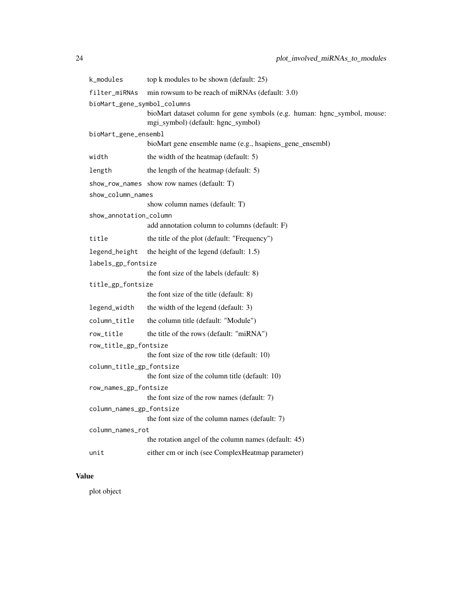| k_modules                           | top k modules to be shown (default: 25)                                                                        |
|-------------------------------------|----------------------------------------------------------------------------------------------------------------|
| filter_miRNAs                       | min rowsum to be reach of miRNAs (default: 3.0)                                                                |
| bioMart_gene_symbol_columns         |                                                                                                                |
|                                     | bioMart dataset column for gene symbols (e.g. human: hgnc_symbol, mouse:<br>mgi_symbol) (default: hgnc_symbol) |
| bioMart_gene_ensembl                |                                                                                                                |
|                                     | bioMart gene ensemble name (e.g., hsapiens_gene_ensembl)                                                       |
| width                               | the width of the heatmap (default: 5)                                                                          |
| length                              | the length of the heatmap (default: 5)                                                                         |
|                                     | show_row_names show row names (default: T)                                                                     |
| show_column_names                   |                                                                                                                |
|                                     | show column names (default: T)                                                                                 |
| show_annotation_column              | add annotation column to columns (default: F)                                                                  |
| title                               | the title of the plot (default: "Frequency")                                                                   |
|                                     |                                                                                                                |
| legend_height<br>labels_gp_fontsize | the height of the legend (default: 1.5)                                                                        |
|                                     | the font size of the labels (default: 8)                                                                       |
| title_gp_fontsize                   |                                                                                                                |
|                                     | the font size of the title (default: 8)                                                                        |
| legend_width                        | the width of the legend (default: 3)                                                                           |
| column_title                        | the column title (default: "Module")                                                                           |
| row_title                           | the title of the rows (default: "miRNA")                                                                       |
| row_title_gp_fontsize               |                                                                                                                |
|                                     | the font size of the row title (default: 10)                                                                   |
| column_title_gp_fontsize            | the font size of the column title (default: 10)                                                                |
| row_names_gp_fontsize               |                                                                                                                |
|                                     | the font size of the row names (default: 7)                                                                    |
| column_names_gp_fontsize            |                                                                                                                |
|                                     | the font size of the column names (default: 7)                                                                 |
| column_names_rot                    |                                                                                                                |
|                                     | the rotation angel of the column names (default: 45)                                                           |
| unit                                | either cm or inch (see ComplexHeatmap parameter)                                                               |

## Value

plot object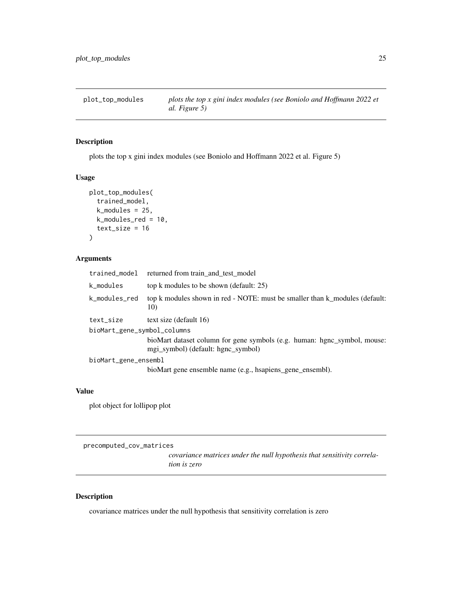<span id="page-24-0"></span>plot\_top\_modules *plots the top x gini index modules (see Boniolo and Hoffmann 2022 et al. Figure 5)*

## Description

plots the top x gini index modules (see Boniolo and Hoffmann 2022 et al. Figure 5)

#### Usage

```
plot_top_modules(
  trained_model,
  k_modules = 25,
 k_modules_red = 10,
  text_size = 16)
```
#### Arguments

| trained_model               | returned from train_and_test_model                                                                             |  |
|-----------------------------|----------------------------------------------------------------------------------------------------------------|--|
| k_modules                   | top k modules to be shown (default: 25)                                                                        |  |
| k_modules_red               | top k modules shown in red - NOTE: must be smaller than k_modules (default:<br>10)                             |  |
| text_size                   | text size (default 16)                                                                                         |  |
| bioMart_gene_symbol_columns |                                                                                                                |  |
|                             | bioMart dataset column for gene symbols (e.g. human: hgnc_symbol, mouse:<br>mgi_symbol) (default: hgnc_symbol) |  |
| bioMart_gene_ensembl        |                                                                                                                |  |
|                             | bioMart gene ensemble name (e.g., hsapiens_gene_ensembl).                                                      |  |

## Value

plot object for lollipop plot

precomputed\_cov\_matrices

*covariance matrices under the null hypothesis that sensitivity correlation is zero*

## Description

covariance matrices under the null hypothesis that sensitivity correlation is zero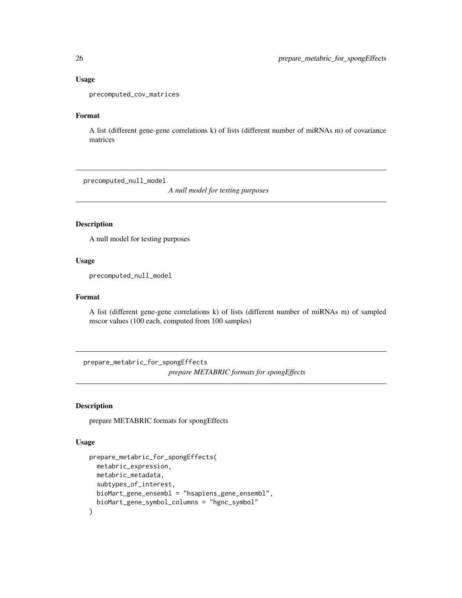#### Usage

precomputed\_cov\_matrices

## Format

A list (different gene-gene correlations k) of lists (different number of miRNAs m) of covariance matrices

precomputed\_null\_model

*A null model for testing purposes*

## Description

A null model for testing purposes

## Usage

precomputed\_null\_model

#### Format

A list (different gene-gene correlations k) of lists (different number of miRNAs m) of sampled mscor values (100 each, computed from 100 samples)

prepare\_metabric\_for\_spongEffects *prepare METABRIC formats for spongEffects*

## Description

prepare METABRIC formats for spongEffects

#### Usage

```
prepare_metabric_for_spongEffects(
 metabric_expression,
 metabric_metadata,
 subtypes_of_interest,
 bioMart_gene_ensembl = "hsapiens_gene_ensembl",
 bioMart_gene_symbol_columns = "hgnc_symbol"
)
```
<span id="page-25-0"></span>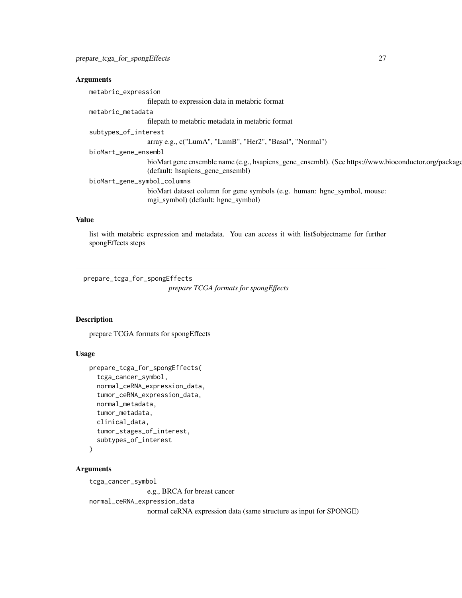## <span id="page-26-0"></span>Arguments

| metabric_expression                                                                                 |
|-----------------------------------------------------------------------------------------------------|
| filepath to expression data in metabric format                                                      |
| metabric_metadata                                                                                   |
| filepath to metabric metadata in metabric format                                                    |
| subtypes_of_interest                                                                                |
| array e.g., c("LumA", "LumB", "Her2", "Basal", "Normal")                                            |
| bioMart_gene_ensembl                                                                                |
| bioMart gene ensemble name (e.g., hsapiens_gene_ensembl). (See https://www.bioconductor.org/package |
| (default: hsapiens_gene_ensembl)                                                                    |
| bioMart_gene_symbol_columns                                                                         |
| bioMart dataset column for gene symbols (e.g. human: hgnc_symbol, mouse:                            |
| mgi_symbol) (default: hgnc_symbol)                                                                  |
|                                                                                                     |

## Value

list with metabric expression and metadata. You can access it with list\$objectname for further spongEffects steps

prepare\_tcga\_for\_spongEffects

*prepare TCGA formats for spongEffects*

## Description

prepare TCGA formats for spongEffects

## Usage

```
prepare_tcga_for_spongEffects(
  tcga_cancer_symbol,
  normal_ceRNA_expression_data,
  tumor_ceRNA_expression_data,
  normal_metadata,
  tumor_metadata,
  clinical_data,
  tumor_stages_of_interest,
  subtypes_of_interest
\mathcal{L}
```
## Arguments

tcga\_cancer\_symbol

e.g., BRCA for breast cancer

normal\_ceRNA\_expression\_data

normal ceRNA expression data (same structure as input for SPONGE)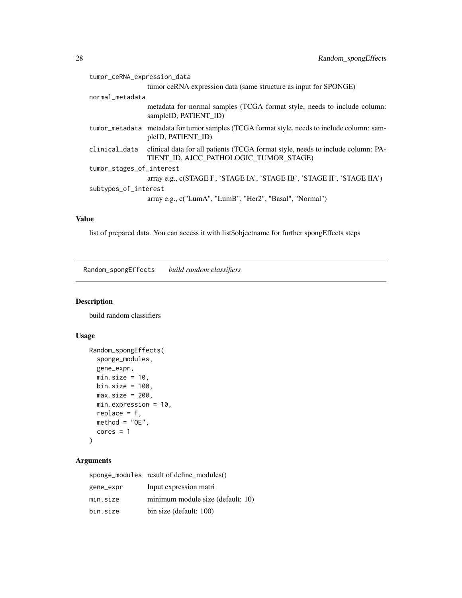<span id="page-27-0"></span>

| tumor_ceRNA_expression_data |                                                                                                                           |  |
|-----------------------------|---------------------------------------------------------------------------------------------------------------------------|--|
|                             | tumor ceRNA expression data (same structure as input for SPONGE)                                                          |  |
| normal_metadata             |                                                                                                                           |  |
|                             | metadata for normal samples (TCGA format style, needs to include column:<br>sampleID, PATIENT ID)                         |  |
|                             | tumor_metadata metadata for tumor samples (TCGA format style, needs to include column: sam-<br>pleID, PATIENT ID)         |  |
| clinical_data               | clinical data for all patients (TCGA format style, needs to include column: PA-<br>TIENT ID, AJCC PATHOLOGIC TUMOR STAGE) |  |
| tumor_stages_of_interest    |                                                                                                                           |  |
|                             | array e.g., c(STAGE I', 'STAGE IA', 'STAGE IB', 'STAGE II', 'STAGE IIA')                                                  |  |
| subtypes_of_interest        |                                                                                                                           |  |
|                             | array e.g., c("LumA", "LumB", "Her2", "Basal", "Normal")                                                                  |  |
|                             |                                                                                                                           |  |

#### Value

list of prepared data. You can access it with list\$objectname for further spongEffects steps

Random\_spongEffects *build random classifiers*

## Description

build random classifiers

## Usage

```
Random_spongEffects(
  sponge_modules,
  gene_expr,
 min.size = 10,
 bin.size = 100,
 max.size = 200,
 min.expression = 10,
 replace = F,
 method = "OE",cores = 1\mathcal{L}
```
## Arguments

|           | sponge_modules result of define modules() |
|-----------|-------------------------------------------|
| gene_expr | Input expression matri                    |
| min.size  | minimum module size (default: 10)         |
| bin.size  | bin size (default: 100)                   |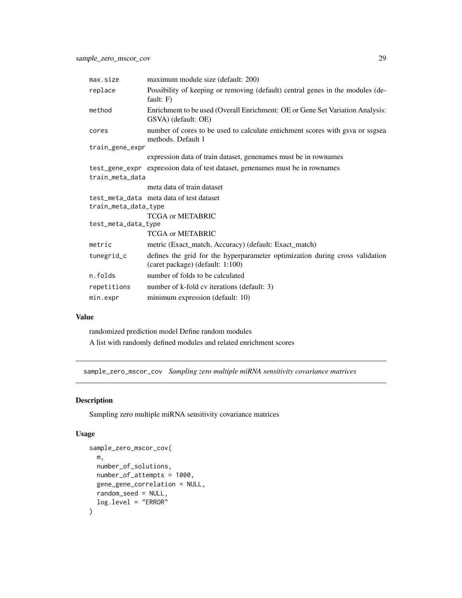<span id="page-28-0"></span>

| max.size             | maximum module size (default: 200)                                                                               |
|----------------------|------------------------------------------------------------------------------------------------------------------|
| replace              | Possibility of keeping or removing (default) central genes in the modules (de-<br>fault: $F$ )                   |
| method               | Enrichment to be used (Overall Enrichment: OE or Gene Set Variation Analysis:<br>GSVA) (default: OE)             |
| cores                | number of cores to be used to calculate entichment scores with gsva or ssgsea<br>methods. Default 1              |
| train_gene_expr      |                                                                                                                  |
|                      | expression data of train dataset, genenames must be in rownames                                                  |
|                      | test_gene_expr expression data of test dataset, genenames must be in rownames                                    |
| train_meta_data      |                                                                                                                  |
|                      | meta data of train dataset                                                                                       |
| train_meta_data_type | test_meta_data meta data of test dataset                                                                         |
|                      | <b>TCGA or METABRIC</b>                                                                                          |
| test_meta_data_type  |                                                                                                                  |
|                      | <b>TCGA or METABRIC</b>                                                                                          |
| metric               | metric (Exact_match, Accuracy) (default: Exact_match)                                                            |
| tunegrid_c           | defines the grid for the hyperparameter optimization during cross validation<br>(caret package) (default: 1:100) |
| n.folds              | number of folds to be calculated                                                                                 |
| repetitions          | number of k-fold cv iterations (default: 3)                                                                      |
| min.expr             | minimum expression (default: 10)                                                                                 |

## Value

randomized prediction model Define random modules

A list with randomly defined modules and related enrichment scores

sample\_zero\_mscor\_cov *Sampling zero multiple miRNA sensitivity covariance matrices*

## Description

Sampling zero multiple miRNA sensitivity covariance matrices

#### Usage

```
sample_zero_mscor_cov(
 m,
 number_of_solutions,
 number_of_attempts = 1000,
 gene_gene_correlation = NULL,
 random_seed = NULL,
  log.level = "ERROR"
\mathcal{E}
```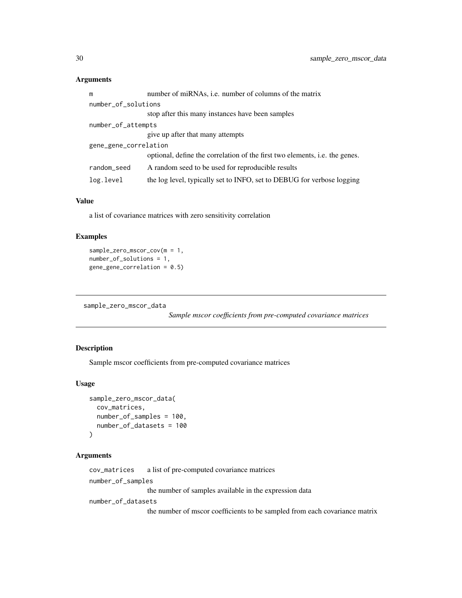## <span id="page-29-0"></span>Arguments

| m                     | number of miRNAs, i.e. number of columns of the matrix                      |  |
|-----------------------|-----------------------------------------------------------------------------|--|
| number_of_solutions   |                                                                             |  |
|                       | stop after this many instances have been samples                            |  |
| number_of_attempts    |                                                                             |  |
|                       | give up after that many attempts                                            |  |
| gene_gene_correlation |                                                                             |  |
|                       | optional, define the correlation of the first two elements, i.e. the genes. |  |
| random_seed           | A random seed to be used for reproducible results                           |  |
| log.level             | the log level, typically set to INFO, set to DEBUG for verbose logging      |  |

#### Value

a list of covariance matrices with zero sensitivity correlation

## Examples

```
sample_zero_mscor_cov(m = 1,
number_of_solutions = 1,
gene_gene_correlation = 0.5)
```

```
sample_zero_mscor_data
```
*Sample mscor coefficients from pre-computed covariance matrices*

## Description

Sample mscor coefficients from pre-computed covariance matrices

## Usage

```
sample_zero_mscor_data(
 cov_matrices,
 number_of_samples = 100,
 number_of_datasets = 100
\lambda
```
#### Arguments

cov\_matrices a list of pre-computed covariance matrices

number\_of\_samples

the number of samples available in the expression data

number\_of\_datasets

the number of mscor coefficients to be sampled from each covariance matrix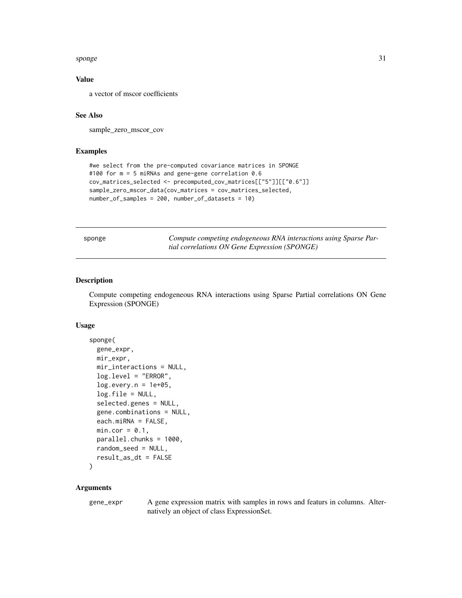#### <span id="page-30-0"></span>sponge 31

#### Value

a vector of mscor coefficients

#### See Also

sample\_zero\_mscor\_cov

#### Examples

```
#we select from the pre-computed covariance matrices in SPONGE
#100 for m = 5 miRNAs and gene-gene correlation 0.6
cov_matrices_selected <- precomputed_cov_matrices[["5"]][["0.6"]]
sample_zero_mscor_data(cov_matrices = cov_matrices_selected,
number_of_samples = 200, number_of_datasets = 10)
```

| sponge |  |
|--------|--|
|--------|--|

sponge *Compute competing endogeneous RNA interactions using Sparse Partial correlations ON Gene Expression (SPONGE)*

#### Description

Compute competing endogeneous RNA interactions using Sparse Partial correlations ON Gene Expression (SPONGE)

#### Usage

```
sponge(
 gene_expr,
 mir_expr,
 mir_interactions = NULL,
  log.level = "ERROR",
  log.every.n = 1e+05,
  log.file = NULL,
  selected.genes = NULL,
  gene.combinations = NULL,
  each.miRNA = FALSE,
 min.cor = 0.1,
 parallel.chunks = 1000,
  random_seed = NULL,
  result_as_dt = FALSE
```

```
)
```
#### Arguments

gene\_expr A gene expression matrix with samples in rows and featurs in columns. Alternatively an object of class ExpressionSet.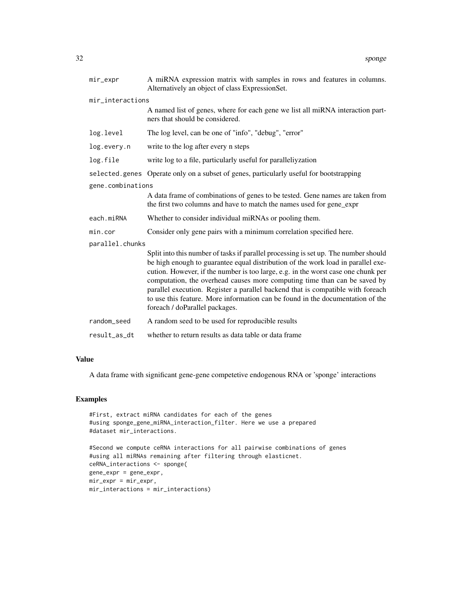| mir_expr          | A miRNA expression matrix with samples in rows and features in columns.<br>Alternatively an object of class ExpressionSet.                                                                                                                                                                                                                                                                                                                                                                                                                       |  |  |
|-------------------|--------------------------------------------------------------------------------------------------------------------------------------------------------------------------------------------------------------------------------------------------------------------------------------------------------------------------------------------------------------------------------------------------------------------------------------------------------------------------------------------------------------------------------------------------|--|--|
|                   | mir_interactions                                                                                                                                                                                                                                                                                                                                                                                                                                                                                                                                 |  |  |
|                   | A named list of genes, where for each gene we list all miRNA interaction part-<br>ners that should be considered.                                                                                                                                                                                                                                                                                                                                                                                                                                |  |  |
| log.level         | The log level, can be one of "info", "debug", "error"                                                                                                                                                                                                                                                                                                                                                                                                                                                                                            |  |  |
| log.every.n       | write to the log after every n steps                                                                                                                                                                                                                                                                                                                                                                                                                                                                                                             |  |  |
| log.file          | write log to a file, particularly useful for paralleliyzation                                                                                                                                                                                                                                                                                                                                                                                                                                                                                    |  |  |
|                   | selected.genes Operate only on a subset of genes, particularly useful for bootstrapping                                                                                                                                                                                                                                                                                                                                                                                                                                                          |  |  |
| gene.combinations |                                                                                                                                                                                                                                                                                                                                                                                                                                                                                                                                                  |  |  |
|                   | A data frame of combinations of genes to be tested. Gene names are taken from<br>the first two columns and have to match the names used for gene_expr                                                                                                                                                                                                                                                                                                                                                                                            |  |  |
| each.miRNA        | Whether to consider individual miRNAs or pooling them.                                                                                                                                                                                                                                                                                                                                                                                                                                                                                           |  |  |
| min.cor           | Consider only gene pairs with a minimum correlation specified here.                                                                                                                                                                                                                                                                                                                                                                                                                                                                              |  |  |
| parallel.chunks   |                                                                                                                                                                                                                                                                                                                                                                                                                                                                                                                                                  |  |  |
|                   | Split into this number of tasks if parallel processing is set up. The number should<br>be high enough to guarantee equal distribution of the work load in parallel exe-<br>cution. However, if the number is too large, e.g. in the worst case one chunk per<br>computation, the overhead causes more computing time than can be saved by<br>parallel execution. Register a parallel backend that is compatible with foreach<br>to use this feature. More information can be found in the documentation of the<br>foreach / doParallel packages. |  |  |
| random_seed       | A random seed to be used for reproducible results                                                                                                                                                                                                                                                                                                                                                                                                                                                                                                |  |  |
| result_as_dt      | whether to return results as data table or data frame                                                                                                                                                                                                                                                                                                                                                                                                                                                                                            |  |  |

#### Value

A data frame with significant gene-gene competetive endogenous RNA or 'sponge' interactions

```
#First, extract miRNA candidates for each of the genes
#using sponge_gene_miRNA_interaction_filter. Here we use a prepared
#dataset mir_interactions.
```

```
#Second we compute ceRNA interactions for all pairwise combinations of genes
#using all miRNAs remaining after filtering through elasticnet.
ceRNA_interactions <- sponge(
gene_expr = gene_expr,
mir_expr = mir_expr,
mir_interactions = mir_interactions)
```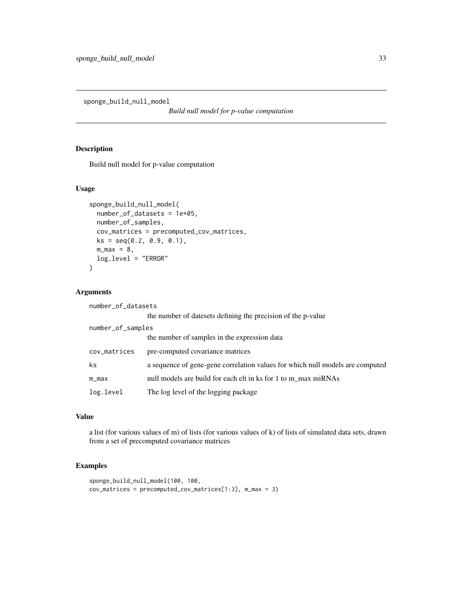<span id="page-32-0"></span>sponge\_build\_null\_model

*Build null model for p-value computation*

## Description

Build null model for p-value computation

#### Usage

```
sponge_build_null_model(
 number_of_datasets = 1e+05,
 number_of_samples,
 cov_matrices = precomputed_cov_matrices,
 ks = seq(0.2, 0.9, 0.1),m_max = 8,log.level = "ERROR"
)
```
## Arguments

| number_of_datasets |                                                                               |
|--------------------|-------------------------------------------------------------------------------|
|                    | the number of datesets defining the precision of the p-value                  |
| number_of_samples  |                                                                               |
|                    | the number of samples in the expression data                                  |
| cov_matrices       | pre-computed covariance matrices                                              |
| ks                 | a sequence of gene-gene correlation values for which null models are computed |
| $m_m$              | null models are build for each elt in ks for 1 to m_max miRNAs                |
| log.level          | The log level of the logging package                                          |

## Value

a list (for various values of m) of lists (for various values of k) of lists of simulated data sets, drawn from a set of precomputed covariance matrices

```
sponge_build_null_model(100, 100,
cov_matrices = precomputed_cov_matrices[1:3], m_max = 3)
```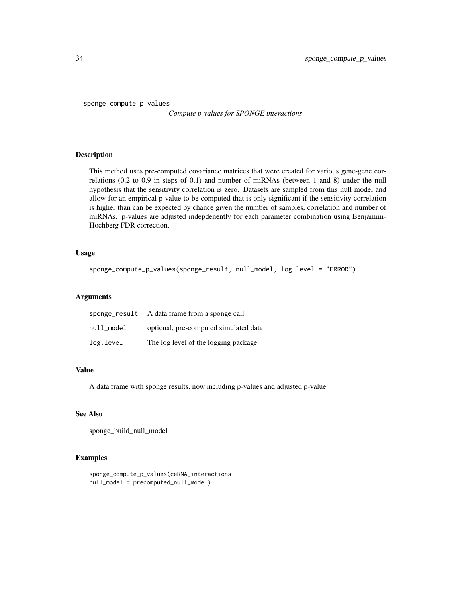<span id="page-33-0"></span>sponge\_compute\_p\_values

*Compute p-values for SPONGE interactions*

#### Description

This method uses pre-computed covariance matrices that were created for various gene-gene correlations (0.2 to 0.9 in steps of 0.1) and number of miRNAs (between 1 and 8) under the null hypothesis that the sensitivity correlation is zero. Datasets are sampled from this null model and allow for an empirical p-value to be computed that is only significant if the sensitivity correlation is higher than can be expected by chance given the number of samples, correlation and number of miRNAs. p-values are adjusted indepdenently for each parameter combination using Benjamini-Hochberg FDR correction.

#### Usage

```
sponge_compute_p_values(sponge_result, null_model, log.level = "ERROR")
```
#### Arguments

| sponge_result | A data frame from a sponge call       |
|---------------|---------------------------------------|
| null_model    | optional, pre-computed simulated data |
| log.level     | The log level of the logging package  |

## Value

A data frame with sponge results, now including p-values and adjusted p-value

#### See Also

sponge\_build\_null\_model

```
sponge_compute_p_values(ceRNA_interactions,
null_model = precomputed_null_model)
```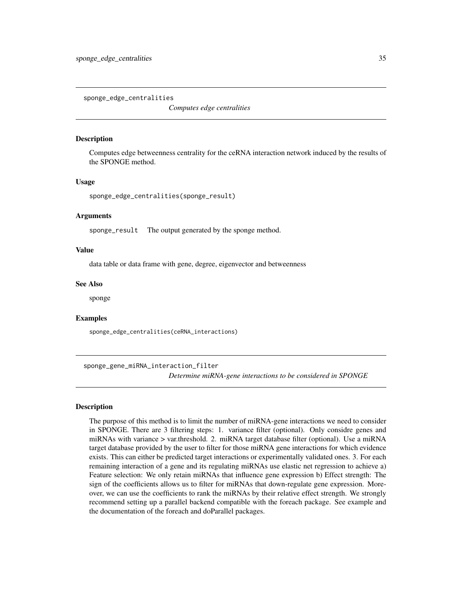<span id="page-34-0"></span>sponge\_edge\_centralities

*Computes edge centralities*

#### Description

Computes edge betweenness centrality for the ceRNA interaction network induced by the results of the SPONGE method.

#### Usage

```
sponge_edge_centralities(sponge_result)
```
#### Arguments

sponge\_result The output generated by the sponge method.

#### Value

data table or data frame with gene, degree, eigenvector and betweenness

#### See Also

sponge

#### Examples

sponge\_edge\_centralities(ceRNA\_interactions)

sponge\_gene\_miRNA\_interaction\_filter *Determine miRNA-gene interactions to be considered in SPONGE*

## **Description**

The purpose of this method is to limit the number of miRNA-gene interactions we need to consider in SPONGE. There are 3 filtering steps: 1. variance filter (optional). Only considre genes and miRNAs with variance > var.threshold. 2. miRNA target database filter (optional). Use a miRNA target database provided by the user to filter for those miRNA gene interactions for which evidence exists. This can either be predicted target interactions or experimentally validated ones. 3. For each remaining interaction of a gene and its regulating miRNAs use elastic net regression to achieve a) Feature selection: We only retain miRNAs that influence gene expression b) Effect strength: The sign of the coefficients allows us to filter for miRNAs that down-regulate gene expression. Moreover, we can use the coefficients to rank the miRNAs by their relative effect strength. We strongly recommend setting up a parallel backend compatible with the foreach package. See example and the documentation of the foreach and doParallel packages.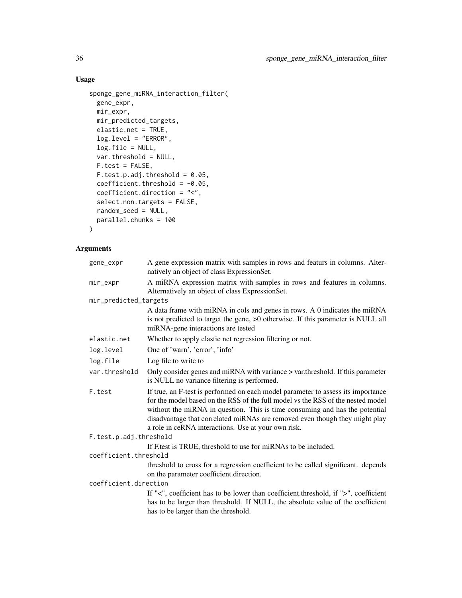## Usage

```
sponge_gene_miRNA_interaction_filter(
 gene_expr,
 mir_expr,
 mir_predicted_targets,
 elastic.net = TRUE,
 log.level = "ERROR",
 log.file = NULL,
 var.threshold = NULL,
 F.test = FALSE,F.test.p.add.html = 0.05,
 coefficient.threshold = -0.05,
 coefficient.direction = "<",
 select.non.targets = FALSE,
 random_seed = NULL,
 parallel.chunks = 100
\mathcal{L}
```
## Arguments

| gene_expr              | A gene expression matrix with samples in rows and featurs in columns. Alter-<br>natively an object of class ExpressionSet.                                                                                                                                                                                                                                                               |
|------------------------|------------------------------------------------------------------------------------------------------------------------------------------------------------------------------------------------------------------------------------------------------------------------------------------------------------------------------------------------------------------------------------------|
| mir_expr               | A miRNA expression matrix with samples in rows and features in columns.<br>Alternatively an object of class ExpressionSet.                                                                                                                                                                                                                                                               |
| mir_predicted_targets  |                                                                                                                                                                                                                                                                                                                                                                                          |
|                        | A data frame with miRNA in cols and genes in rows. A 0 indicates the miRNA<br>is not predicted to target the gene, >0 otherwise. If this parameter is NULL all<br>miRNA-gene interactions are tested                                                                                                                                                                                     |
| elastic.net            | Whether to apply elastic net regression filtering or not.                                                                                                                                                                                                                                                                                                                                |
| log.level              | One of 'warn', 'error', 'info'                                                                                                                                                                                                                                                                                                                                                           |
| log.file               | Log file to write to                                                                                                                                                                                                                                                                                                                                                                     |
| var.threshold          | Only consider genes and miRNA with variance > var.threshold. If this parameter<br>is NULL no variance filtering is performed.                                                                                                                                                                                                                                                            |
| F.test                 | If true, an F-test is performed on each model parameter to assess its importance<br>for the model based on the RSS of the full model vs the RSS of the nested model<br>without the miRNA in question. This is time consuming and has the potential<br>disadvantage that correlated miRNAs are removed even though they might play<br>a role in ceRNA interactions. Use at your own risk. |
| F.test.p.adj.threshold |                                                                                                                                                                                                                                                                                                                                                                                          |
|                        | If F test is TRUE, threshold to use for miRNAs to be included.                                                                                                                                                                                                                                                                                                                           |
| coefficient.threshold  |                                                                                                                                                                                                                                                                                                                                                                                          |
|                        | threshold to cross for a regression coefficient to be called significant. depends                                                                                                                                                                                                                                                                                                        |
|                        | on the parameter coefficient.direction.                                                                                                                                                                                                                                                                                                                                                  |
| coefficient.direction  |                                                                                                                                                                                                                                                                                                                                                                                          |
|                        | If " $\lt$ ", coefficient has to be lower than coefficient threshold, if " $\gt$ ", coefficient                                                                                                                                                                                                                                                                                          |
|                        | has to be larger than threshold. If NULL, the absolute value of the coefficient                                                                                                                                                                                                                                                                                                          |
|                        | has to be larger than the threshold.                                                                                                                                                                                                                                                                                                                                                     |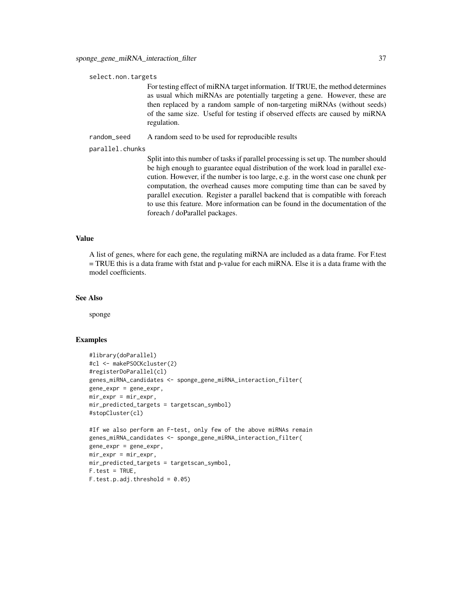select.non.targets

For testing effect of miRNA target information. If TRUE, the method determines as usual which miRNAs are potentially targeting a gene. However, these are then replaced by a random sample of non-targeting miRNAs (without seeds) of the same size. Useful for testing if observed effects are caused by miRNA regulation.

random\_seed A random seed to be used for reproducible results

parallel.chunks

Split into this number of tasks if parallel processing is set up. The number should be high enough to guarantee equal distribution of the work load in parallel execution. However, if the number is too large, e.g. in the worst case one chunk per computation, the overhead causes more computing time than can be saved by parallel execution. Register a parallel backend that is compatible with foreach to use this feature. More information can be found in the documentation of the foreach / doParallel packages.

#### Value

A list of genes, where for each gene, the regulating miRNA are included as a data frame. For F.test = TRUE this is a data frame with fstat and p-value for each miRNA. Else it is a data frame with the model coefficients.

#### See Also

sponge

```
#library(doParallel)
#cl <- makePSOCKcluster(2)
#registerDoParallel(cl)
genes_miRNA_candidates <- sponge_gene_miRNA_interaction_filter(
gene_expr = gene_expr,
mir\_expr = mir\_expr,
mir_predicted_targets = targetscan_symbol)
#stopCluster(cl)
#If we also perform an F-test, only few of the above miRNAs remain
genes_miRNA_candidates <- sponge_gene_miRNA_interaction_filter(
gene_expr = gene_expr,
mir\_expr = mir\_expr,
mir_predicted_targets = targetscan_symbol,
F.test = TRUE,
F.test.p.add.threshold = 0.05
```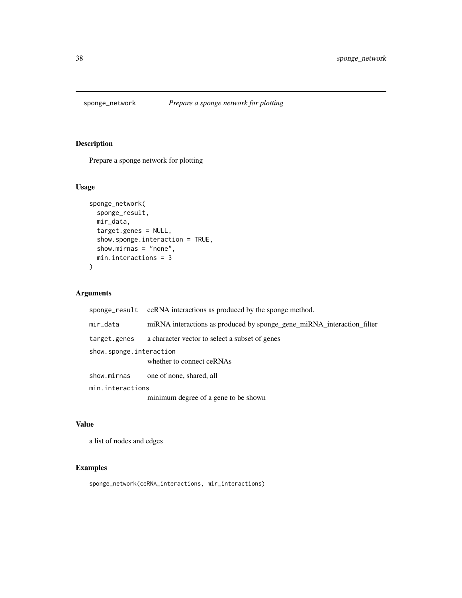<span id="page-37-0"></span>

## Description

Prepare a sponge network for plotting

## Usage

```
sponge_network(
  sponge_result,
  mir_data,
  target.genes = NULL,
  show.sponge.interaction = TRUE,
  show.mirnas = "none",
  min.interactions = 3
\overline{\phantom{a}}
```
## Arguments

|                         | sponge_result ceRNA interactions as produced by the sponge method.     |
|-------------------------|------------------------------------------------------------------------|
| mir_data                | miRNA interactions as produced by sponge_gene_miRNA_interaction_filter |
| target.genes            | a character vector to select a subset of genes                         |
| show.sponge.interaction |                                                                        |
|                         | whether to connect ceRNAs                                              |
| show.mirnas             | one of none, shared, all                                               |
| min.interactions        |                                                                        |
|                         | minimum degree of a gene to be shown                                   |

## Value

a list of nodes and edges

## Examples

sponge\_network(ceRNA\_interactions, mir\_interactions)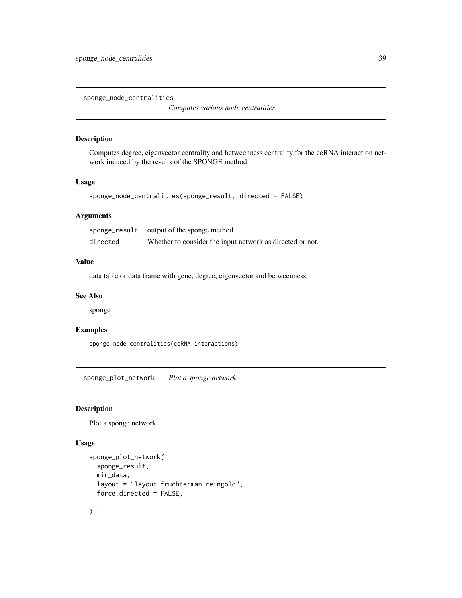<span id="page-38-0"></span>sponge\_node\_centralities

*Computes various node centralities*

## Description

Computes degree, eigenvector centrality and betweenness centrality for the ceRNA interaction network induced by the results of the SPONGE method

#### Usage

```
sponge_node_centralities(sponge_result, directed = FALSE)
```
## Arguments

|          | sponge_result output of the sponge method                 |
|----------|-----------------------------------------------------------|
| directed | Whether to consider the input network as directed or not. |

## Value

data table or data frame with gene, degree, eigenvector and betweenness

## See Also

sponge

## Examples

sponge\_node\_centralities(ceRNA\_interactions)

sponge\_plot\_network *Plot a sponge network*

#### Description

Plot a sponge network

#### Usage

```
sponge_plot_network(
  sponge_result,
 mir_data,
  layout = "layout.fruchterman.reingold",
  force.directed = FALSE,
  ...
\mathcal{E}
```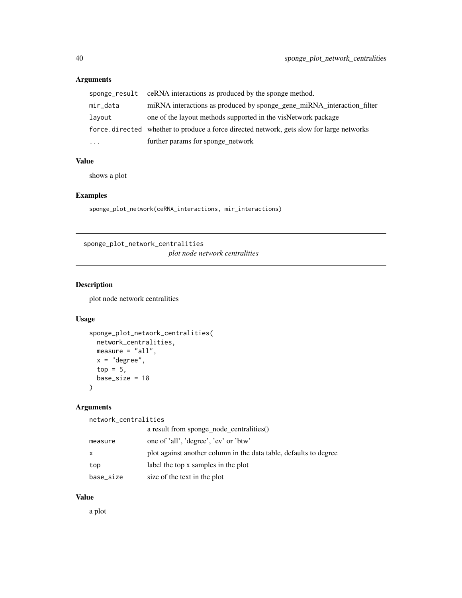## <span id="page-39-0"></span>Arguments

|          | sponge_result ceRNA interactions as produced by the sponge method.                       |
|----------|------------------------------------------------------------------------------------------|
| mir_data | miRNA interactions as produced by sponge_gene_miRNA_interaction_filter                   |
| lavout   | one of the layout methods supported in the visNetwork package                            |
|          | force directed whether to produce a force directed network, gets slow for large networks |
| $\cdots$ | further params for sponge_network                                                        |

#### Value

shows a plot

## Examples

sponge\_plot\_network(ceRNA\_interactions, mir\_interactions)

sponge\_plot\_network\_centralities *plot node network centralities*

## Description

plot node network centralities

## Usage

```
sponge_plot_network_centralities(
 network_centralities,
 measure = "all",
 x = "degree",top = 5,
 base_size = 18
\mathcal{E}
```
## Arguments

network\_centralities

|           | a result from sponge_node_centralities()                          |
|-----------|-------------------------------------------------------------------|
| measure   | one of 'all', 'degree', 'ev' or 'btw'                             |
| X         | plot against another column in the data table, defaults to degree |
| top       | label the top x samples in the plot                               |
| base_size | size of the text in the plot                                      |

#### Value

a plot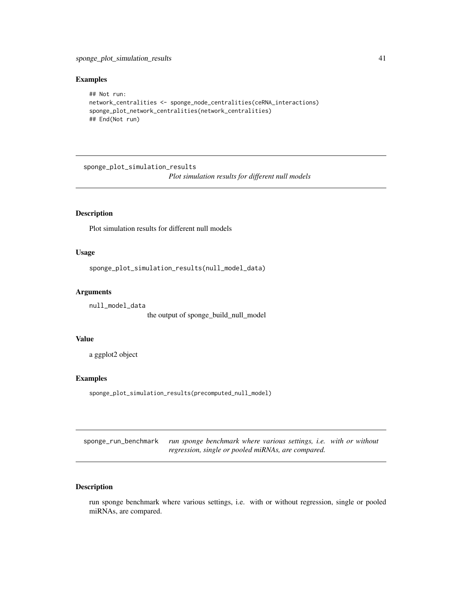## <span id="page-40-0"></span>Examples

```
## Not run:
network_centralities <- sponge_node_centralities(ceRNA_interactions)
sponge_plot_network_centralities(network_centralities)
## End(Not run)
```
sponge\_plot\_simulation\_results *Plot simulation results for different null models*

## Description

Plot simulation results for different null models

#### Usage

```
sponge_plot_simulation_results(null_model_data)
```
#### Arguments

```
null_model_data
                 the output of sponge_build_null_model
```
#### Value

a ggplot2 object

## Examples

sponge\_plot\_simulation\_results(precomputed\_null\_model)

sponge\_run\_benchmark *run sponge benchmark where various settings, i.e. with or without regression, single or pooled miRNAs, are compared.*

## Description

run sponge benchmark where various settings, i.e. with or without regression, single or pooled miRNAs, are compared.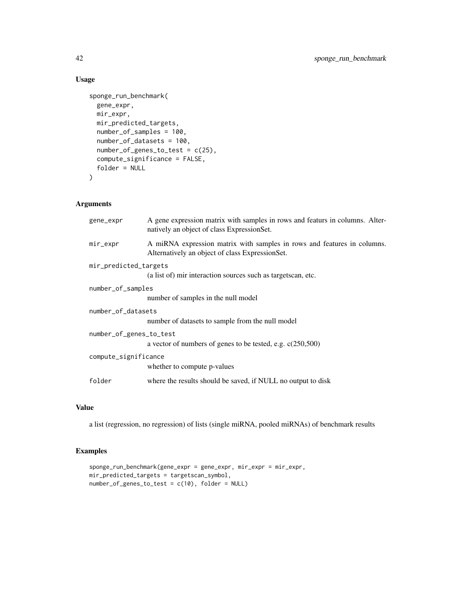## Usage

```
sponge_run_benchmark(
  gene_expr,
 mir_expr,
 mir_predicted_targets,
 number_of_samples = 100,
  number_of_datasets = 100,
  number_of_genes_to_test = c(25),
  compute_significance = FALSE,
  folder = NULL
\mathcal{L}
```
## Arguments

| gene_expr               | A gene expression matrix with samples in rows and featurs in columns. Alter-<br>natively an object of class ExpressionSet. |
|-------------------------|----------------------------------------------------------------------------------------------------------------------------|
| mir_expr                | A miRNA expression matrix with samples in rows and features in columns.<br>Alternatively an object of class ExpressionSet. |
| mir_predicted_targets   |                                                                                                                            |
|                         | (a list of) mir interaction sources such as targets can, etc.                                                              |
| number_of_samples       |                                                                                                                            |
|                         | number of samples in the null model                                                                                        |
| number_of_datasets      |                                                                                                                            |
|                         | number of datasets to sample from the null model                                                                           |
| number_of_genes_to_test |                                                                                                                            |
|                         | a vector of numbers of genes to be tested, e.g. $c(250,500)$                                                               |
| compute_significance    |                                                                                                                            |
|                         | whether to compute p-values                                                                                                |
| folder                  | where the results should be saved, if NULL no output to disk                                                               |
|                         |                                                                                                                            |

## Value

a list (regression, no regression) of lists (single miRNA, pooled miRNAs) of benchmark results

```
sponge_run_benchmark(gene_expr = gene_expr, mir_expr = mir_expr,
mir_predicted_targets = targetscan_symbol,
number_of_genes_to_test = c(10), folder = NULL)
```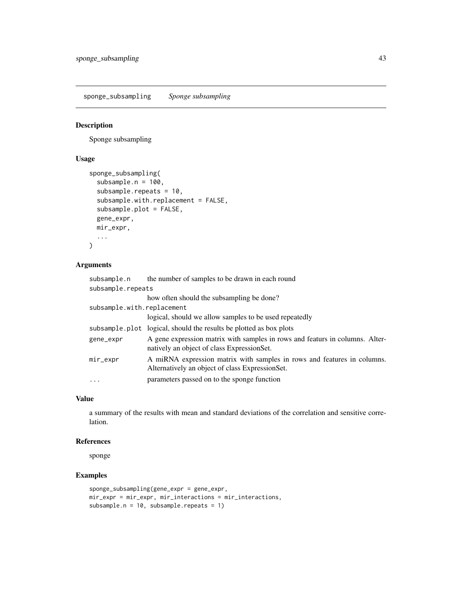<span id="page-42-0"></span>sponge\_subsampling *Sponge subsampling*

#### Description

Sponge subsampling

## Usage

```
sponge_subsampling(
  subsample.n = 100,
  subsample.repeats = 10,
  subsample.with.replacement = FALSE,
  subsample.plot = FALSE,
  gene_expr,
 mir_expr,
  ...
\mathcal{L}
```
#### Arguments

| subsample.n                | the number of samples to be drawn in each round                                                                             |
|----------------------------|-----------------------------------------------------------------------------------------------------------------------------|
| subsample.repeats          |                                                                                                                             |
|                            | how often should the subsampling be done?                                                                                   |
| subsample.with.replacement |                                                                                                                             |
|                            | logical, should we allow samples to be used repeatedly                                                                      |
|                            | subsample.plot logical, should the results be plotted as box plots                                                          |
| gene_expr                  | A gene expression matrix with samples in rows and featurs in columns. Alter-<br>natively an object of class Expression Set. |
| mir_expr                   | A miRNA expression matrix with samples in rows and features in columns.<br>Alternatively an object of class ExpressionSet.  |
| $\cdots$                   | parameters passed on to the sponge function                                                                                 |

## Value

a summary of the results with mean and standard deviations of the correlation and sensitive correlation.

#### References

sponge

```
sponge_subsampling(gene_expr = gene_expr,
mir_expr = mir_expr, mir_interactions = mir_interactions,
subsample.n = 10, subsample.repeats = 1)
```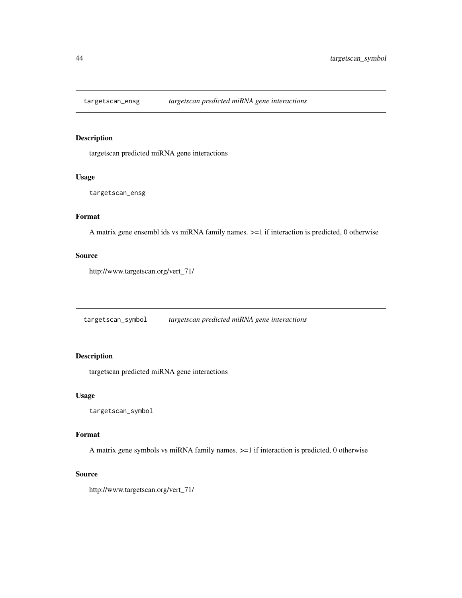<span id="page-43-0"></span>

#### Description

targetscan predicted miRNA gene interactions

#### Usage

targetscan\_ensg

## Format

A matrix gene ensembl ids vs miRNA family names. >=1 if interaction is predicted, 0 otherwise

## Source

http://www.targetscan.org/vert\_71/

targetscan\_symbol *targetscan predicted miRNA gene interactions*

## **Description**

targetscan predicted miRNA gene interactions

#### Usage

targetscan\_symbol

#### Format

A matrix gene symbols vs miRNA family names. >=1 if interaction is predicted, 0 otherwise

#### Source

http://www.targetscan.org/vert\_71/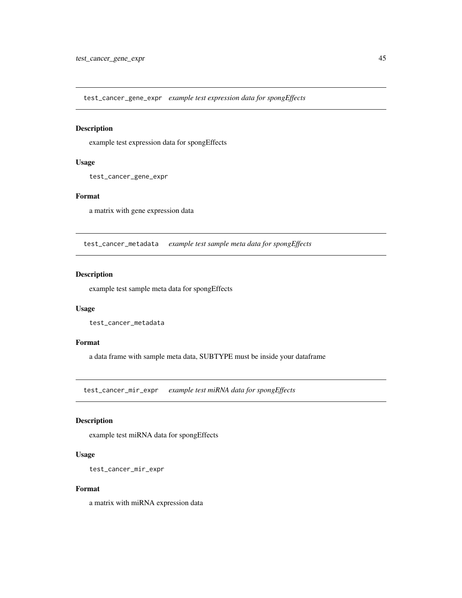<span id="page-44-0"></span>test\_cancer\_gene\_expr *example test expression data for spongEffects*

## Description

example test expression data for spongEffects

#### Usage

test\_cancer\_gene\_expr

## Format

a matrix with gene expression data

test\_cancer\_metadata *example test sample meta data for spongEffects*

## Description

example test sample meta data for spongEffects

## Usage

test\_cancer\_metadata

## Format

a data frame with sample meta data, SUBTYPE must be inside your dataframe

test\_cancer\_mir\_expr *example test miRNA data for spongEffects*

## Description

example test miRNA data for spongEffects

#### Usage

```
test_cancer_mir_expr
```
#### Format

a matrix with miRNA expression data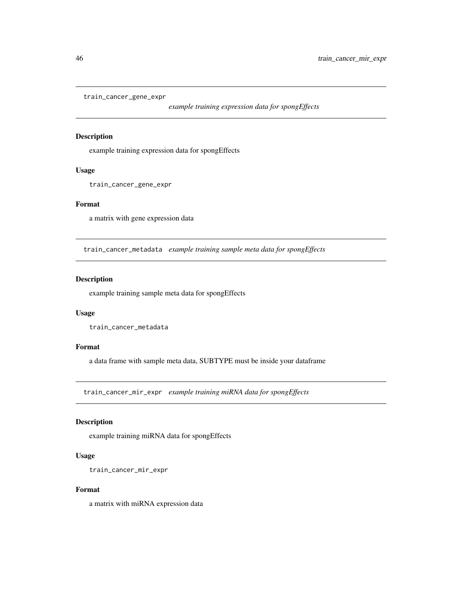<span id="page-45-0"></span>train\_cancer\_gene\_expr

*example training expression data for spongEffects*

## Description

example training expression data for spongEffects

#### Usage

train\_cancer\_gene\_expr

## Format

a matrix with gene expression data

train\_cancer\_metadata *example training sample meta data for spongEffects*

## Description

example training sample meta data for spongEffects

#### Usage

train\_cancer\_metadata

#### Format

a data frame with sample meta data, SUBTYPE must be inside your dataframe

train\_cancer\_mir\_expr *example training miRNA data for spongEffects*

#### Description

example training miRNA data for spongEffects

#### Usage

```
train_cancer_mir_expr
```
#### Format

a matrix with miRNA expression data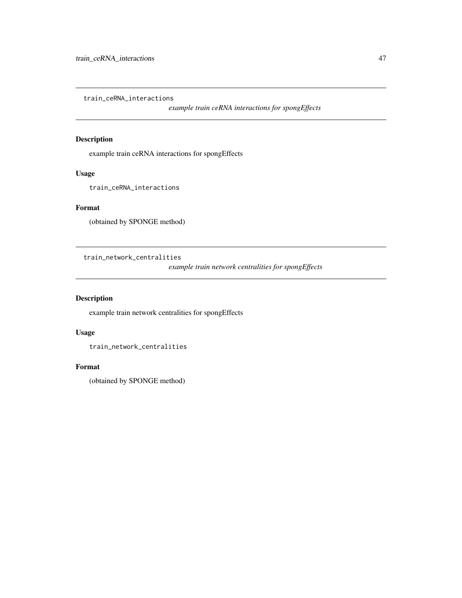<span id="page-46-0"></span>train\_ceRNA\_interactions

*example train ceRNA interactions for spongEffects*

## Description

example train ceRNA interactions for spongEffects

## Usage

train\_ceRNA\_interactions

## Format

(obtained by SPONGE method)

train\_network\_centralities

*example train network centralities for spongEffects*

## Description

example train network centralities for spongEffects

## Usage

train\_network\_centralities

#### Format

(obtained by SPONGE method)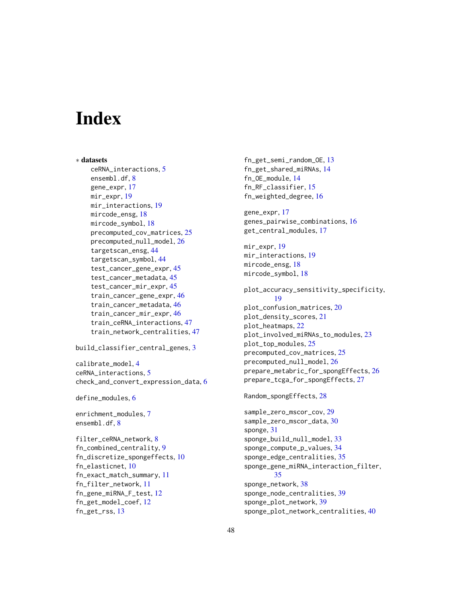# <span id="page-47-0"></span>**Index**

```
∗ datasets
    ceRNA_interactions, 5
    ensembl.df, 8
    gene_expr, 17
    mir_expr, 19
    mir_interactions, 19
    mircode_ensg, 18
    mircode_symbol, 18
    precomputed_cov_matrices, 25
    precomputed_null_model, 26
    targetscan_ensg, 44
    targetscan_symbol, 44
    test_cancer_gene_expr, 45
    test_cancer_metadata, 45
    test_cancer_mir_expr, 45
    train_cancer_gene_expr, 46
    train_cancer_metadata, 46
    train_cancer_mir_expr, 46
    train_ceRNA_interactions, 47
    train_network_centralities, 47
build_classifier_central_genes, 3
calibrate_model, 4
ceRNA_interactions, 5
check_and_convert_expression_data, 6
define_modules, 6
enrichment_modules, 7
ensembl.df, 8
filter_ceRNA_network, 8
fn_combined_centrality, 9
fn_discretize_spongeffects, 10
fn_elasticnet, 10
```
fn\_exact\_match\_summary, [11](#page-10-0) fn\_filter\_network, [11](#page-10-0) fn\_gene\_miRNA\_F\_test, [12](#page-11-0) fn\_get\_model\_coef, [12](#page-11-0)

fn\_get\_rss, [13](#page-12-0)

fn\_get\_semi\_random\_OE, [13](#page-12-0) fn\_get\_shared\_miRNAs, [14](#page-13-0) fn\_OE\_module, [14](#page-13-0) fn\_RF\_classifier, [15](#page-14-0) fn\_weighted\_degree, [16](#page-15-0) gene\_expr, [17](#page-16-0) genes\_pairwise\_combinations, [16](#page-15-0) get\_central\_modules, [17](#page-16-0) mir\_expr, [19](#page-18-0) mir\_interactions, [19](#page-18-0) mircode\_ensg, [18](#page-17-0) mircode\_symbol, [18](#page-17-0) plot\_accuracy\_sensitivity\_specificity, [19](#page-18-0) plot\_confusion\_matrices, [20](#page-19-0) plot\_density\_scores, [21](#page-20-0) plot\_heatmaps, [22](#page-21-0) plot\_involved\_miRNAs\_to\_modules, [23](#page-22-0) plot\_top\_modules, [25](#page-24-0) precomputed\_cov\_matrices, [25](#page-24-0) precomputed\_null\_model, [26](#page-25-0) prepare\_metabric\_for\_spongEffects, [26](#page-25-0) prepare\_tcga\_for\_spongEffects, [27](#page-26-0) Random\_spongEffects, [28](#page-27-0) sample\_zero\_mscor\_cov, [29](#page-28-0) sample\_zero\_mscor\_data, [30](#page-29-0) sponge, [31](#page-30-0) sponge\_build\_null\_model, [33](#page-32-0) sponge\_compute\_p\_values, [34](#page-33-0) sponge\_edge\_centralities, [35](#page-34-0) sponge\_gene\_miRNA\_interaction\_filter, [35](#page-34-0) sponge\_network, [38](#page-37-0) sponge\_node\_centralities, [39](#page-38-0) sponge\_plot\_network, [39](#page-38-0)

sponge\_plot\_network\_centralities, [40](#page-39-0)